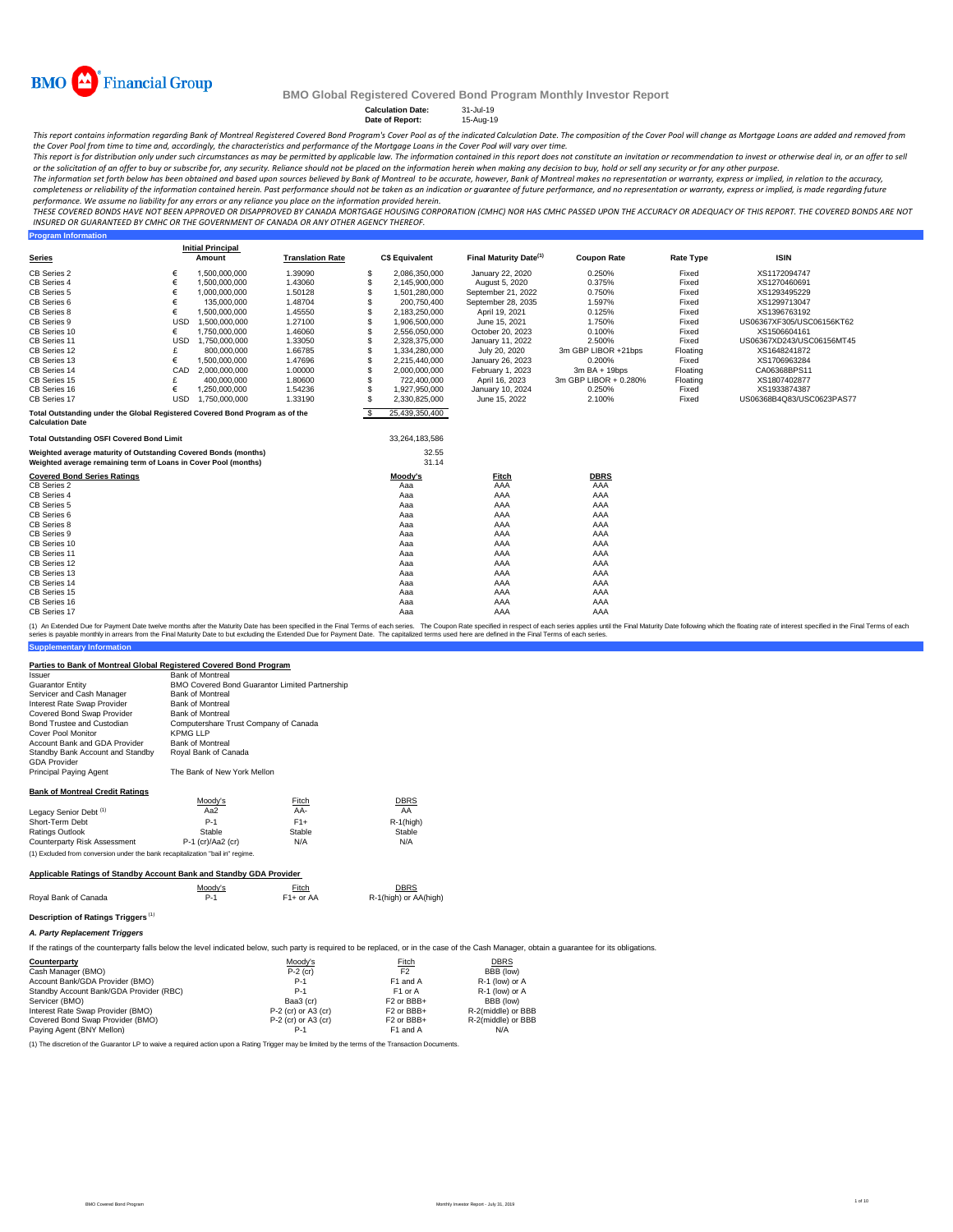

**Program Information**

#### **BMO Global Registered Covered Bond Program Monthly Investor Report**

**Calculation Date:** 31-Jul-19 **Date of Report:** 15-Aug-19

This report contains information regarding Bank of Montreal Registered Covered Bond Program's Cover Pool as of the indicated Calculation Date. The composition of the Cover Pool will change as Mortgage Loans are added and r

the Cover Pool from time to time and, accordingly, the characteristics and performance of the Mortgage Loans in the Cover Pool will vary over time.<br>This report is for distribution only under such circumstances as may be pe *or the solicitation of an offer to buy or subscribe for, any security. Reliance should not be placed on the information herein when making any decision to buy, hold or sell any security or for any other purpose.*

The information set forth below has been obtained and based upon sources believed by Bank of Montreal to be accurate, however, Bank of Montreal makes no representation or warranty, express or implied, in relation to the ac *completeness or reliability of the information contained herein. Past performance should not be taken as an indication or guarantee of future performance, and no representation or warranty, express or implied, is made regarding future* 

performance. We assume no liability for any errors or any reliance you place on the information provided herein.<br>THESE COVERED BONDS HAVE NOT BEEN APPROVED OR DISAPPROVED BY CANADA MORTGAGE HOUSING CORPORATION (CMHC) NOR H *INSURED OR GUARANTEED BY CMHC OR THE GOVERNMENT OF CANADA OR ANY OTHER AGENCY THEREOF.*

|                                                                                                                                    |            | <b>Initial Principal</b> |                         |      |                       |                                    |                       |                  |                           |
|------------------------------------------------------------------------------------------------------------------------------------|------------|--------------------------|-------------------------|------|-----------------------|------------------------------------|-----------------------|------------------|---------------------------|
| <b>Series</b>                                                                                                                      |            | Amount                   | <b>Translation Rate</b> |      | <b>C\$ Equivalent</b> | Final Maturity Date <sup>(1)</sup> | <b>Coupon Rate</b>    | <b>Rate Type</b> | <b>ISIN</b>               |
| CB Series 2                                                                                                                        | €          | 1,500,000,000            | 1.39090                 | S    | 2.086.350.000         | January 22, 2020                   | 0.250%                | Fixed            | XS1172094747              |
| CB Series 4                                                                                                                        | €          | 1,500,000,000            | 1.43060                 | \$   | 2,145,900,000         | August 5, 2020                     | 0.375%                | Fixed            | XS1270460691              |
| CB Series 5                                                                                                                        | €          | 1.000.000.000            | 1.50128                 | \$   | 1,501,280,000         | September 21, 2022                 | 0.750%                | Fixed            | XS1293495229              |
| CB Series 6                                                                                                                        | €          | 135,000,000              | 1.48704                 |      | 200,750,400           | September 28, 2035                 | 1.597%                | Fixed            | XS1299713047              |
| CB Series 8                                                                                                                        | €          | 1,500,000,000            | 1.45550                 |      | 2,183,250,000         | April 19, 2021                     | 0.125%                | Fixed            | XS1396763192              |
| CB Series 9                                                                                                                        | <b>USD</b> | 1.500.000.000            | 1.27100                 | \$   | 1,906,500,000         | June 15, 2021                      | 1.750%                | Fixed            | US06367XF305/USC06156KT62 |
| CB Series 10                                                                                                                       | €          | 1,750,000,000            | 1.46060                 | S    | 2,556,050,000         | October 20, 2023                   | 0.100%                | Fixed            | XS1506604161              |
| CB Series 11                                                                                                                       | <b>USD</b> | 1.750.000.000            | 1.33050                 |      | 2,328,375,000         | January 11, 2022                   | 2.500%                | Fixed            | US06367XD243/USC06156MT45 |
| CB Series 12                                                                                                                       |            | 800,000,000              | 1.66785                 | \$   | 1,334,280,000         | July 20, 2020                      | 3m GBP LIBOR +21bps   | Floating         | XS1648241872              |
| CB Series 13                                                                                                                       | €          | 1,500,000,000            | 1.47696                 | \$   | 2,215,440,000         | January 26, 2023                   | 0.200%                | Fixed            | XS1706963284              |
| CB Series 14                                                                                                                       | CAD        | 2,000,000,000            | 1.00000                 |      | 2,000,000,000         | February 1, 2023                   | $3m$ BA + 19bps       | Floating         | CA06368BPS11              |
| CB Series 15                                                                                                                       |            | 400,000,000              | 1.80600                 |      | 722,400,000           | April 16, 2023                     | 3m GBP LIBOR + 0.280% | Floating         | XS1807402877              |
| CB Series 16                                                                                                                       | €          | 1,250,000,000            | 1.54236                 | S    | 1,927,950,000         | January 10, 2024                   | 0.250%                | Fixed            | XS1933874387              |
| CB Series 17                                                                                                                       | <b>USD</b> | 1.750.000.000            | 1.33190                 | S    | 2.330.825.000         | June 15, 2022                      | 2.100%                | Fixed            | US06368B4Q83/USC0623PAS77 |
| Total Outstanding under the Global Registered Covered Bond Program as of the<br><b>Calculation Date</b>                            |            |                          |                         | - \$ | 25,439,350,400        |                                    |                       |                  |                           |
| <b>Total Outstanding OSFI Covered Bond Limit</b>                                                                                   |            |                          |                         |      | 33,264,183,586        |                                    |                       |                  |                           |
| Weighted average maturity of Outstanding Covered Bonds (months)<br>Weighted average remaining term of Loans in Cover Pool (months) |            |                          |                         |      | 32.55<br>31.14        |                                    |                       |                  |                           |
| <b>Covered Bond Series Ratings</b>                                                                                                 |            |                          |                         |      | Moody's               | Fitch                              | <b>DBRS</b>           |                  |                           |
| CB Series 2                                                                                                                        |            |                          |                         |      | Aaa                   | AAA                                | AAA                   |                  |                           |
| CB Series 4                                                                                                                        |            |                          |                         |      | Aaa                   | AAA                                | AAA                   |                  |                           |
| CB Series 5                                                                                                                        |            |                          |                         |      | Aaa                   | AAA                                | AAA                   |                  |                           |
| CB Series 6                                                                                                                        |            |                          |                         |      | Aaa                   | AAA                                | AAA                   |                  |                           |
| CB Series 8                                                                                                                        |            |                          |                         |      | Aaa                   | AAA                                | AAA                   |                  |                           |
| CB Series 9                                                                                                                        |            |                          |                         |      | Aaa                   | AAA                                | AAA                   |                  |                           |
| CB Series 10                                                                                                                       |            |                          |                         |      | Aaa                   | AAA                                | AAA                   |                  |                           |
| CB Series 11                                                                                                                       |            |                          |                         |      | Aaa                   | AAA                                | AAA                   |                  |                           |
| CB Series 12                                                                                                                       |            |                          |                         |      | Aaa                   | AAA                                | AAA                   |                  |                           |
| CB Series 13                                                                                                                       |            |                          |                         |      | Aaa                   | AAA                                | AAA                   |                  |                           |
| CB Series 14                                                                                                                       |            |                          |                         |      | Aaa                   | AAA                                | AAA                   |                  |                           |
| CB Series 15                                                                                                                       |            |                          |                         |      | Aaa                   | AAA                                | AAA                   |                  |                           |
| CB Series 16                                                                                                                       |            |                          |                         |      | Aaa                   | AAA                                | AAA                   |                  |                           |
| CB Series 17                                                                                                                       |            |                          |                         |      | Aaa                   | AAA                                | AAA                   |                  |                           |

**Supplementary Information** (1) An Exended Due for Payment Date whe months after the Maturity Date has been specified in the Final Terms of each series. The Coupon Rate specified in the specified in the Final Maturity Date following which the Final T

#### **Parties to Bank of Montreal Global Registered Covered Bond Program**

| Parties to Bank of Montreal Global Registered Covered Bond Program             |                                                |             |                       |  |  |  |  |
|--------------------------------------------------------------------------------|------------------------------------------------|-------------|-----------------------|--|--|--|--|
| Issuer                                                                         | <b>Bank of Montreal</b>                        |             |                       |  |  |  |  |
| <b>Guarantor Entity</b>                                                        | BMO Covered Bond Guarantor Limited Partnership |             |                       |  |  |  |  |
| Servicer and Cash Manager                                                      | <b>Bank of Montreal</b>                        |             |                       |  |  |  |  |
| Interest Rate Swap Provider                                                    | <b>Bank of Montreal</b>                        |             |                       |  |  |  |  |
| Covered Bond Swap Provider                                                     | <b>Bank of Montreal</b>                        |             |                       |  |  |  |  |
| Bond Trustee and Custodian                                                     | Computershare Trust Company of Canada          |             |                       |  |  |  |  |
| Cover Pool Monitor                                                             | <b>KPMG LLP</b>                                |             |                       |  |  |  |  |
| Account Bank and GDA Provider                                                  | <b>Bank of Montreal</b>                        |             |                       |  |  |  |  |
| Standby Bank Account and Standby                                               | Royal Bank of Canada                           |             |                       |  |  |  |  |
| <b>GDA Provider</b>                                                            |                                                |             |                       |  |  |  |  |
| Principal Paying Agent                                                         | The Bank of New York Mellon                    |             |                       |  |  |  |  |
| <b>Bank of Montreal Credit Ratings</b>                                         |                                                |             |                       |  |  |  |  |
|                                                                                | Moody's                                        | Fitch       | <b>DBRS</b>           |  |  |  |  |
| Legacy Senior Debt <sup>(1)</sup>                                              | Aa2                                            | AA-         | AA                    |  |  |  |  |
| Short-Term Debt                                                                | $P-1$                                          | $F1+$       | $R-1$ (high)          |  |  |  |  |
| Ratings Outlook                                                                | Stable                                         | Stable      | Stable                |  |  |  |  |
| Counterparty Risk Assessment                                                   | P-1 (cr)/Aa2 (cr)                              | N/A         | N/A                   |  |  |  |  |
| (1) Excluded from conversion under the bank recapitalization "bail in" regime. |                                                |             |                       |  |  |  |  |
| Applicable Ratings of Standby Account Bank and Standby GDA Provider            |                                                |             |                       |  |  |  |  |
|                                                                                | Moody's                                        | Fitch       | <b>DBRS</b>           |  |  |  |  |
| Roval Bank of Canada                                                           | $P-1$                                          | $F1+$ or AA | R-1(high) or AA(high) |  |  |  |  |
|                                                                                |                                                |             |                       |  |  |  |  |
| Description of Ratings Triggers <sup>(1)</sup>                                 |                                                |             |                       |  |  |  |  |
| A. Party Replacement Triggers                                                  |                                                |             |                       |  |  |  |  |
|                                                                                |                                                |             |                       |  |  |  |  |

If the ratings of the counterparty falls below the level indicated below, such party is required to be replaced, or in the case of the Cash Manager, obtain a guarantee for its obligations.

| Counterparty                            | Moody's             | Fitch                              | <b>DBRS</b>        |
|-----------------------------------------|---------------------|------------------------------------|--------------------|
| Cash Manager (BMO)                      | $P-2$ (cr)          | F <sub>2</sub>                     | BBB (low)          |
| Account Bank/GDA Provider (BMO)         | $P-1$               | F1 and A                           | R-1 (low) or A     |
| Standby Account Bank/GDA Provider (RBC) | $P-1$               | F <sub>1</sub> or A                | R-1 (low) or A     |
| Servicer (BMO)                          | Baa3 (cr)           | F <sub>2</sub> or BB <sub>B+</sub> | BBB (low)          |
| Interest Rate Swap Provider (BMO)       | P-2 (cr) or A3 (cr) | F <sub>2</sub> or BB <sub>H</sub>  | R-2(middle) or BBB |
| Covered Bond Swap Provider (BMO)        | P-2 (cr) or A3 (cr) | F <sub>2</sub> or BBB+             | R-2(middle) or BBB |
| Paving Agent (BNY Mellon)               | $P-1$               | F1 and A                           | N/A                |

(1) The discretion of the Guarantor LP to waive a required action upon a Rating Trigger may be limited by the terms of the Transaction Documents.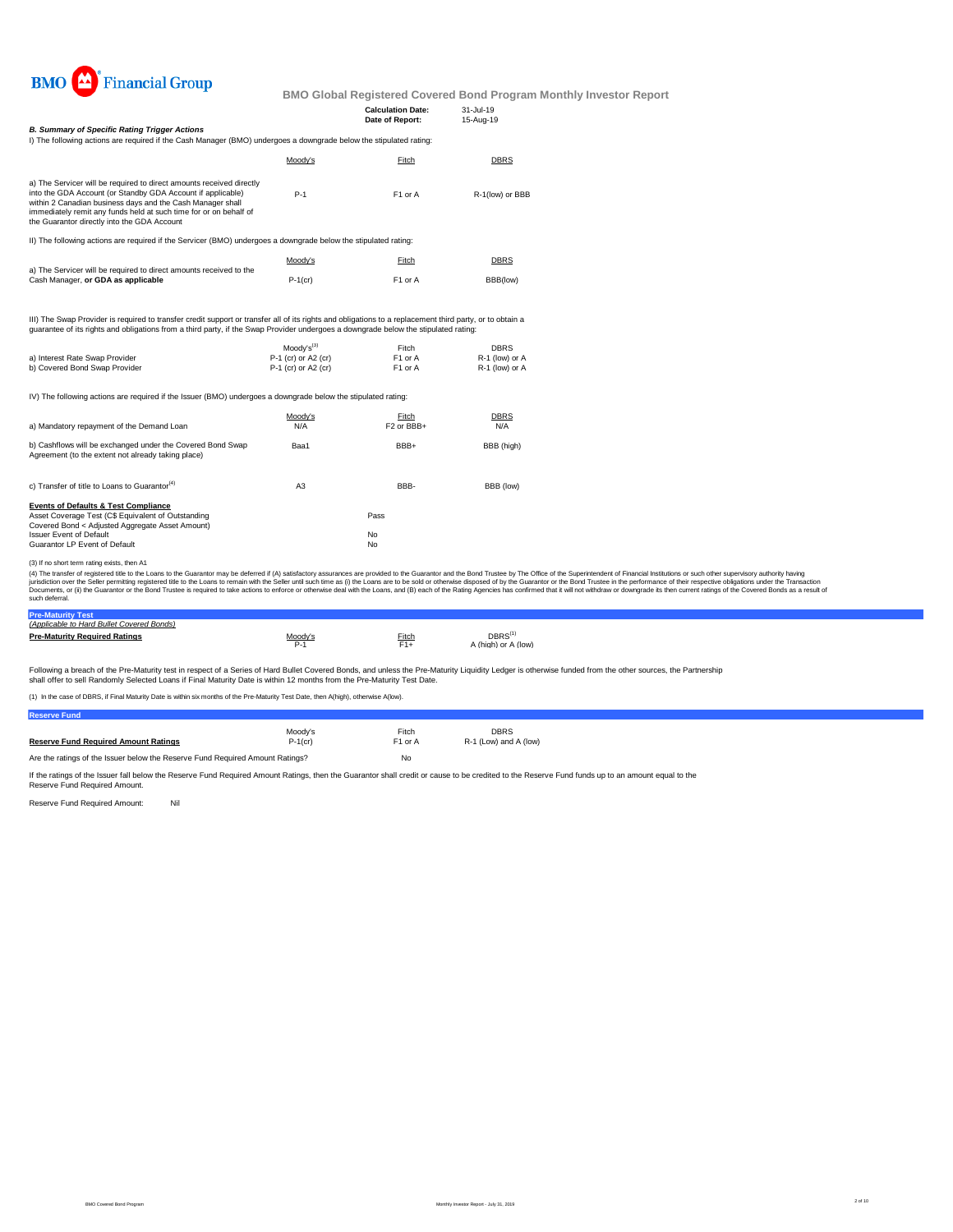

|                                                                                                                                                                                                                                                                                                                       |                     |                                             | <u>Dividi Dobal Iteyisteled Ooveled Dolla Floyialli Moliti</u> |
|-----------------------------------------------------------------------------------------------------------------------------------------------------------------------------------------------------------------------------------------------------------------------------------------------------------------------|---------------------|---------------------------------------------|----------------------------------------------------------------|
|                                                                                                                                                                                                                                                                                                                       |                     | <b>Calculation Date:</b><br>Date of Report: | 31-Jul-19<br>15-Aug-19                                         |
| <b>B. Summary of Specific Rating Trigger Actions</b>                                                                                                                                                                                                                                                                  |                     |                                             |                                                                |
| I) The following actions are required if the Cash Manager (BMO) undergoes a downgrade below the stipulated rating:                                                                                                                                                                                                    |                     |                                             |                                                                |
|                                                                                                                                                                                                                                                                                                                       | Moody's             | Fitch                                       | <b>DBRS</b>                                                    |
| a) The Servicer will be required to direct amounts received directly<br>into the GDA Account (or Standby GDA Account if applicable)<br>within 2 Canadian business days and the Cash Manager shall<br>immediately remit any funds held at such time for or on behalf of<br>the Guarantor directly into the GDA Account | $P-1$               | F1 or A                                     | R-1(low) or BBB                                                |
| II) The following actions are required if the Servicer (BMO) undergoes a downgrade below the stipulated rating:                                                                                                                                                                                                       |                     |                                             |                                                                |
|                                                                                                                                                                                                                                                                                                                       | Moody's             | Fitch                                       | <b>DBRS</b>                                                    |
| a) The Servicer will be required to direct amounts received to the<br>Cash Manager, or GDA as applicable                                                                                                                                                                                                              | $P-1$ (cr)          | F1 or A                                     | BBB(low)                                                       |
| III) The Swap Provider is required to transfer credit support or transfer all of its rights and obligations to a replacement third party, or to obtain a<br>quarantee of its rights and obligations from a third party, if the Swap Provider undergoes a downgrade below the stipulated rating:                       |                     |                                             |                                                                |
|                                                                                                                                                                                                                                                                                                                       | $Modv's^{(3)}$      | Fitch                                       | <b>DBRS</b>                                                    |
| a) Interest Rate Swap Provider                                                                                                                                                                                                                                                                                        | P-1 (cr) or A2 (cr) | F1 or A                                     | R-1 (low) or A                                                 |
| b) Covered Bond Swap Provider                                                                                                                                                                                                                                                                                         | P-1 (cr) or A2 (cr) | F1 or A                                     | R-1 (low) or A                                                 |
| IV) The following actions are required if the Issuer (BMO) undergoes a downgrade below the stipulated rating:                                                                                                                                                                                                         |                     |                                             |                                                                |
|                                                                                                                                                                                                                                                                                                                       | Moody's             | Fitch                                       | <b>DBRS</b>                                                    |
| a) Mandatory repayment of the Demand Loan                                                                                                                                                                                                                                                                             | N/A                 | F <sub>2</sub> or BB <sub>B+</sub>          | N/A                                                            |
| b) Cashflows will be exchanged under the Covered Bond Swap<br>Agreement (to the extent not already taking place)                                                                                                                                                                                                      | Baa1                | BBB+                                        | BBB (high)                                                     |
| c) Transfer of title to Loans to Guarantor <sup>(4)</sup>                                                                                                                                                                                                                                                             | A <sub>3</sub>      | BBB-                                        | BBB (low)                                                      |
| <b>Events of Defaults &amp; Test Compliance</b><br>Asset Coverage Test (C\$ Equivalent of Outstanding<br>Covered Bond < Adjusted Aggregate Asset Amount)                                                                                                                                                              |                     | Pass                                        |                                                                |
| <b>Issuer Event of Default</b>                                                                                                                                                                                                                                                                                        |                     | No                                          |                                                                |
|                                                                                                                                                                                                                                                                                                                       |                     |                                             |                                                                |

Guarantor LP Event of Default No

(3) If no short term rating exists, then A1

(4) The transfer of registered title to the Loan's to the Guarantor may be deferred if (A) satisfactory assurances are provided to the Guarantor and the Bond Truster in the Sultan to the Sultan to the Sultan to the Transac

| (Applicable to Hard Bullet Covered Bonds) |         |       |                     |  |  |
|-------------------------------------------|---------|-------|---------------------|--|--|
| <b>Pre-Maturity Required Ratings</b>      | Moody's | Fitch | DBRS <sup>(1)</sup> |  |  |
|                                           | $P-1$   | $F1+$ | (high) or A (low)   |  |  |
|                                           |         |       |                     |  |  |

Following a breach of the Pre-Maturity test in respect of a Series of Hard Bullet Covered Bonds, and unless the Pre-Maturity Liquidity Ledger is otherwise funded from the other sources, the Partnership<br>shall offer to sell

(1) In the case of DBRS, if Final Maturity Date is within six months of the Pre-Maturity Test Date, then A(high), otherwise A(low).

| <b>Reserve Fund</b>                                                           |            |                     |                       |
|-------------------------------------------------------------------------------|------------|---------------------|-----------------------|
|                                                                               | Moodv's    | Fitch               | <b>DBRS</b>           |
| <b>Reserve Fund Required Amount Ratings</b>                                   | $P-1$ (cr) | F <sub>1</sub> or A | R-1 (Low) and A (low) |
| Are the ratings of the Issuer below the Reserve Fund Reguired Amount Ratings? |            | No                  |                       |

If the ratings of the Issuer fall below the Reserve Fund Required Amount Ratings, then the Guarantor shall credit or cause to be credited to the Reserve Fund funds up to an amount equal to the<br>Reserve Fund Required Amount.

Reserve Fund Required Amount: Nil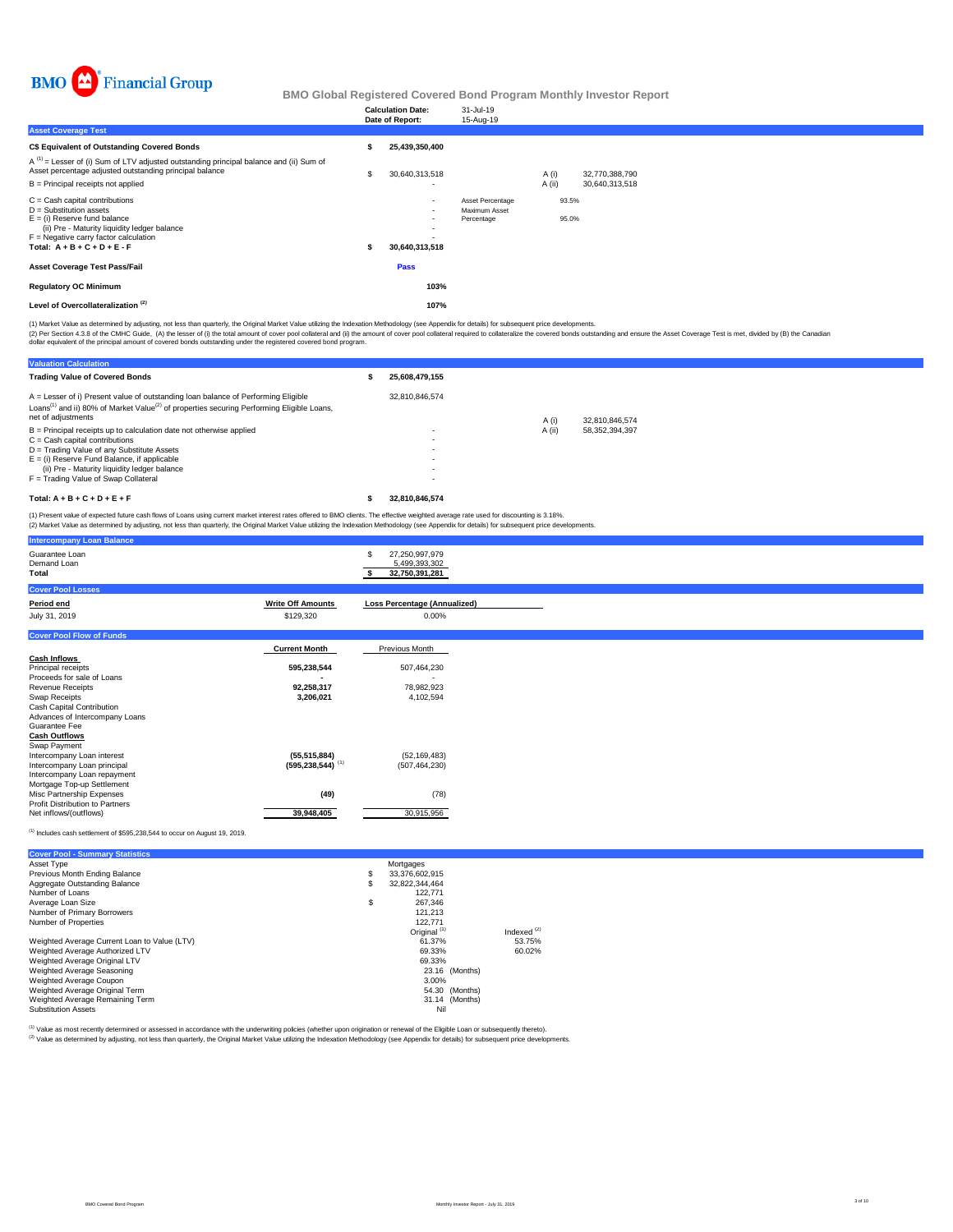

|                                                                                                                                                                                                                              | <b>Calculation Date:</b><br>Date of Report:                              | 31-Jul-19<br>15-Aug-19                          |        |                |                |
|------------------------------------------------------------------------------------------------------------------------------------------------------------------------------------------------------------------------------|--------------------------------------------------------------------------|-------------------------------------------------|--------|----------------|----------------|
| <b>Asset Coverage Test</b>                                                                                                                                                                                                   |                                                                          |                                                 |        |                |                |
| C\$ Equivalent of Outstanding Covered Bonds                                                                                                                                                                                  | 25,439,350,400                                                           |                                                 |        |                |                |
| $A^{(1)}$ = Lesser of (i) Sum of LTV adjusted outstanding principal balance and (ii) Sum of<br>Asset percentage adjusted outstanding principal balance                                                                       | \$<br>30,640,313,518                                                     |                                                 | A (i)  |                | 32,770,388,790 |
| $B =$ Principal receipts not applied                                                                                                                                                                                         |                                                                          |                                                 | A (ii) |                | 30,640,313,518 |
| $C =$ Cash capital contributions<br>$D =$ Substitution assets<br>$E =$ (i) Reserve fund balance<br>(ii) Pre - Maturity liquidity ledger balance<br>$F =$ Negative carry factor calculation<br>Total: $A + B + C + D + E - F$ | $\sim$<br>$\sim$<br>$\sim$<br>$\overline{\phantom{a}}$<br>30,640,313,518 | Asset Percentage<br>Maximum Asset<br>Percentage |        | 93.5%<br>95.0% |                |
| <b>Asset Coverage Test Pass/Fail</b>                                                                                                                                                                                         | Pass                                                                     |                                                 |        |                |                |
| <b>Regulatory OC Minimum</b>                                                                                                                                                                                                 | 103%                                                                     |                                                 |        |                |                |
| Level of Overcollateralization <sup>(2)</sup>                                                                                                                                                                                | 107%                                                                     |                                                 |        |                |                |

(2) Per Section 4.3.8 of the CMHC Guide, (A) the lesser of (i) the total amount of cover pool collateral and (i) the amount of cover pool collateral required to collateralize the covered bonds outstanding and ensure the As (1) Market Value as determined by adjusting, not less than quarterly, the Original Market Value utilizing the Indexation Methodology (see Appendix for details) for subsequent price developments.

**Valuation Calculation Trading Value of Covered Bonds \$ 25,608,479,155** 32,810,846,574 A (i) 32,810,846,574<br>A (ii) 58,352,394,397 B = Principal receipts up to calculation date not otherwise applied<br>C = Cash capital contributions<br>D = Trading Value of any Substitute Assets<br>E = (i) Reserve Fund Balance, if applicable<br>— (ii) Pre - Maturity liquidity ledg **Total: A + B + C + D + E + F \$ 32,810,846,574** A = Lesser of i) Present value of outstanding loan balance of Performing Eligible Loans<sup>(1)</sup> and ii) 80% of Market Value<sup>(2)</sup> of properties securing Performing Eligible Loans, net of adjustments

(1) Present value of expected future cash flows of Loans using current market interest rates offered to BMO clients. The effective weighted average rate used for discounting is 3.18%.<br>(2) Market Value as determined by adju

|                          | \$<br>27.250.997.979                                                                  |
|--------------------------|---------------------------------------------------------------------------------------|
|                          | 5,499,393,302<br>32,750,391,281                                                       |
|                          |                                                                                       |
| <b>Write Off Amounts</b> | <b>Loss Percentage (Annualized)</b>                                                   |
| \$129,320                | 0.00%                                                                                 |
|                          |                                                                                       |
| <b>Current Month</b>     | Previous Month                                                                        |
|                          |                                                                                       |
| 595,238,544              | 507,464,230                                                                           |
|                          |                                                                                       |
|                          | 78,982,923                                                                            |
|                          | 4,102,594                                                                             |
|                          |                                                                                       |
|                          |                                                                                       |
|                          |                                                                                       |
|                          |                                                                                       |
|                          | (52, 169, 483)                                                                        |
|                          | (507, 464, 230)                                                                       |
|                          |                                                                                       |
|                          |                                                                                       |
|                          | (78)                                                                                  |
|                          |                                                                                       |
| 39,948,405               | 30,915,956                                                                            |
|                          | 92,258,317<br>3,206,021<br>(55, 515, 884)<br>$(595, 238, 544)$ <sup>(1)</sup><br>(49) |

Includes cash settlement of \$595,238,544 to occur on August 19, 2019.

| <b>Cover Pool - Summary Statistics</b>       |                         |               |
|----------------------------------------------|-------------------------|---------------|
| Asset Type                                   | Mortgages               |               |
| Previous Month Ending Balance                | \$<br>33,376,602,915    |               |
| Aggregate Outstanding Balance                | \$<br>32.822.344.464    |               |
| Number of Loans                              | 122.771                 |               |
| Average Loan Size                            | \$<br>267.346           |               |
| Number of Primary Borrowers                  | 121.213                 |               |
| Number of Properties                         | 122.771                 |               |
|                                              | Original <sup>(1)</sup> | Indexed $(2)$ |
| Weighted Average Current Loan to Value (LTV) | 61.37%                  | 53.75%        |
| Weighted Average Authorized LTV              | 69.33%                  | 60.02%        |
| Weighted Average Original LTV                | 69.33%                  |               |
| Weighted Average Seasoning                   | 23.16 (Months)          |               |
| Weighted Average Coupon                      | 3.00%                   |               |
| Weighted Average Original Term               | 54.30 (Months)          |               |
| Weighted Average Remaining Term              | 31.14 (Months)          |               |
| <b>Substitution Assets</b>                   | Nil                     |               |

<sup>(1)</sup> Value as most recently determined or assessed in accordance with the underwriting policies (whether upon origination or renewal of the Eligible Loan or subsequently thereto).<br><sup>(2)</sup> Value as determined by adjusting, n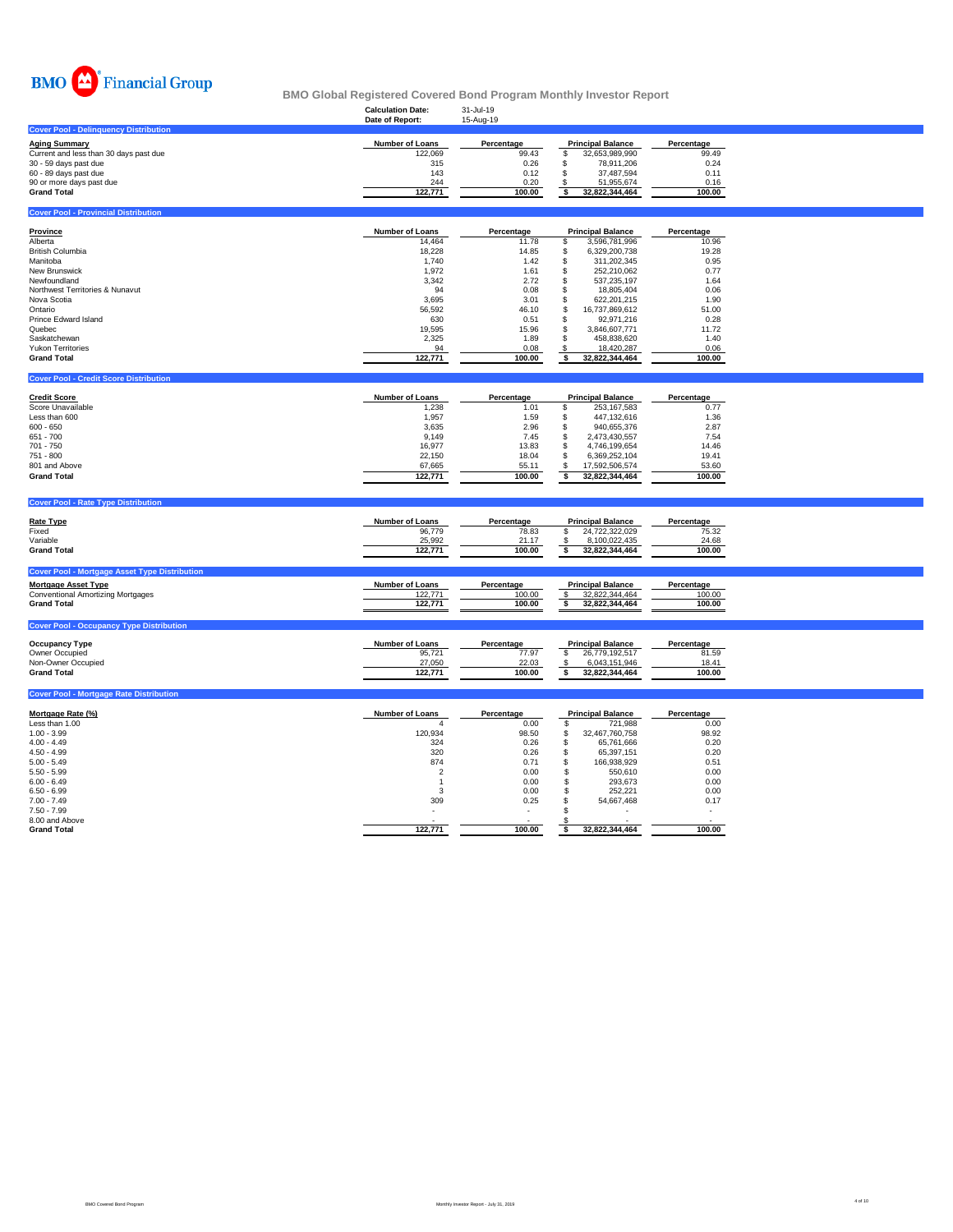

|                                                      | <b>Calculation Date:</b><br>Date of Report: | 31-Jul-19<br>15-Aug-19 |                                           |            |
|------------------------------------------------------|---------------------------------------------|------------------------|-------------------------------------------|------------|
| <b>Cover Pool - Delinquency Distribution</b>         |                                             |                        |                                           |            |
| <b>Aging Summary</b>                                 | <b>Number of Loans</b>                      | Percentage             | <b>Principal Balance</b>                  | Percentage |
| Current and less than 30 days past due               | 122,069                                     | 99.43                  | \$<br>32,653,989,990                      | 99.49      |
| 30 - 59 days past due                                | 315                                         | 0.26                   | \$<br>78,911,206                          | 0.24       |
| 60 - 89 days past due                                | 143                                         | 0.12                   | \$<br>37,487,594                          | 0.11       |
|                                                      |                                             |                        |                                           |            |
| 90 or more days past due                             | 244                                         | 0.20                   | S<br>51,955,674                           | 0.16       |
| <b>Grand Total</b>                                   | 122,771                                     | 100.00                 | \$<br>32,822,344,464                      | 100.00     |
| <b>Cover Pool - Provincial Distribution</b>          |                                             |                        |                                           |            |
| <b>Province</b>                                      | <b>Number of Loans</b>                      | Percentage             | <b>Principal Balance</b>                  | Percentage |
| Alberta                                              | 14,464                                      | 11.78                  | \$<br>3,596,781,996                       | 10.96      |
| <b>British Columbia</b>                              | 18,228                                      | 14.85                  | \$<br>6,329,200,738                       | 19.28      |
| Manitoba                                             | 1,740                                       | 1.42                   | \$<br>311,202,345                         | 0.95       |
| New Brunswick                                        | 1,972                                       | 1.61                   | \$<br>252,210,062                         | 0.77       |
| Newfoundland                                         |                                             |                        | \$                                        | 1.64       |
|                                                      | 3,342                                       | 2.72                   | 537,235,197<br>\$                         |            |
| Northwest Territories & Nunavut                      | 94                                          | 0.08                   | 18,805,404                                | 0.06       |
| Nova Scotia                                          | 3,695                                       | 3.01                   | \$<br>622,201,215                         | 1.90       |
| Ontario                                              | 56,592                                      | 46.10                  | \$<br>16,737,869,612                      | 51.00      |
| <b>Prince Edward Island</b>                          | 630                                         | 0.51                   | \$<br>92,971,216                          | 0.28       |
| Quebec                                               | 19,595                                      | 15.96                  | \$<br>3,846,607,771                       | 11.72      |
| Saskatchewan                                         | 2,325                                       | 1.89                   | \$<br>458,838,620                         | 1.40       |
| <b>Yukon Territories</b>                             | 94                                          | 0.08                   | S<br>18,420,287                           | 0.06       |
| <b>Grand Total</b>                                   | 122,771                                     | 100.00                 | \$<br>32,822,344,464                      | 100.00     |
|                                                      |                                             |                        |                                           |            |
| <b>Cover Pool - Credit Score Distribution</b>        |                                             |                        |                                           |            |
| <b>Credit Score</b>                                  | Number of Loans                             | Percentage             | <b>Principal Balance</b>                  | Percentage |
| Score Unavailable                                    | 1,238                                       | 1.01                   | \$<br>253, 167, 583                       | 0.77       |
| Less than 600                                        | 1,957                                       | 1.59                   | \$<br>447, 132, 616                       | 1.36       |
|                                                      |                                             |                        |                                           |            |
| $600 - 650$                                          | 3,635                                       | 2.96                   | \$<br>940,655,376                         | 2.87       |
| 651 - 700                                            | 9,149                                       | 7.45                   | \$<br>2,473,430,557                       | 7.54       |
| $701 - 750$                                          | 16,977                                      | 13.83                  | \$<br>4,746,199,654                       | 14.46      |
| 751 - 800                                            | 22,150                                      | 18.04                  | \$<br>6,369,252,104                       | 19.41      |
| 801 and Above                                        | 67,665                                      | 55.11                  | \$<br>17,592,506,574                      | 53.60      |
| <b>Grand Total</b>                                   | 122,771                                     | 100.00                 | $\overline{\mathbf{s}}$<br>32,822,344,464 | 100.00     |
|                                                      |                                             |                        |                                           |            |
| <b>Cover Pool - Rate Type Distribution</b>           |                                             |                        |                                           |            |
| <b>Rate Type</b>                                     | <b>Number of Loans</b>                      | Percentage             | <b>Principal Balance</b>                  | Percentage |
| Fixed                                                | 96,779                                      | 78.83                  | \$<br>24,722,322,029                      | 75.32      |
| Variable                                             | 25,992                                      | 21.17                  | 8,100,022,435<br>\$                       | 24.68      |
| <b>Grand Total</b>                                   | 122,771                                     | 100.00                 | \$<br>32,822,344,464                      | 100.00     |
|                                                      |                                             |                        |                                           |            |
| <b>Cover Pool - Mortgage Asset Type Distribution</b> |                                             |                        |                                           |            |
| <b>Mortgage Asset Type</b>                           | Number of Loans                             | Percentage             | <b>Principal Balance</b>                  | Percentage |
| <b>Conventional Amortizing Mortgages</b>             | 122,771                                     | 100.00                 | 32,822,344,464<br>\$                      | 100.00     |
| <b>Grand Total</b>                                   | 122,771                                     | 100.00                 | \$<br>32,822,344,464                      | 100.00     |
| <b>Cover Pool - Occupancy Type Distribution</b>      |                                             |                        |                                           |            |
|                                                      |                                             |                        |                                           |            |
| <b>Occupancy Type</b>                                | <b>Number of Loans</b>                      | Percentage             | <b>Principal Balance</b>                  | Percentage |
| Owner Occupied                                       | 95,721                                      | 77.97                  | \$<br>26,779,192,517                      | 81.59      |
| Non-Owner Occupied                                   | 27,050                                      | 22.03                  | 6.043.151.946<br>\$                       | 18.41      |
| <b>Grand Total</b>                                   | 122,771                                     | 100.00                 | \$<br>32,822,344,464                      | 100.00     |
| <b>Cover Pool - Mortgage Rate Distribution</b>       |                                             |                        |                                           |            |
|                                                      |                                             |                        |                                           |            |
| Mortgage Rate (%)                                    | Number of Loans                             | Percentage             | <b>Principal Balance</b>                  | Percentage |
| Less than 1.00                                       | 4                                           | 0.00                   | \$<br>721,988                             | 0.00       |
| $1.00 - 3.99$                                        | 120,934                                     | 98.50                  | \$<br>32,467,760,758                      | 98.92      |
| $4.00 - 4.49$                                        | 324                                         | 0.26                   | \$<br>65,761,666                          | 0.20       |
| $4.50 - 4.99$                                        | 320                                         | 0.26                   | \$<br>65,397,151                          | 0.20       |
| $5.00 - 5.49$                                        | 874                                         | 0.71                   | \$<br>166,938,929                         | 0.51       |

 $5.50$  -  $5.99$   $5.50,610$   $0.00$   $5$   $550,610$   $0.00$ 6.00 - 6.49 1 0.00 \$ 293,673 0.00  $6.50 \cdot 6.99$   $252,221$   $0.00$   $5$   $252,221$   $0.00$ 7.00 - 7.49 309 0.25 \$ 54,667,468 0.17 7.50 - 7.99 - - \$ - - 8.00 and Above - - \$ - - **Grand Total 122,771 100.00 \$ 32,822,344,464 100.00** ٦

٦

٦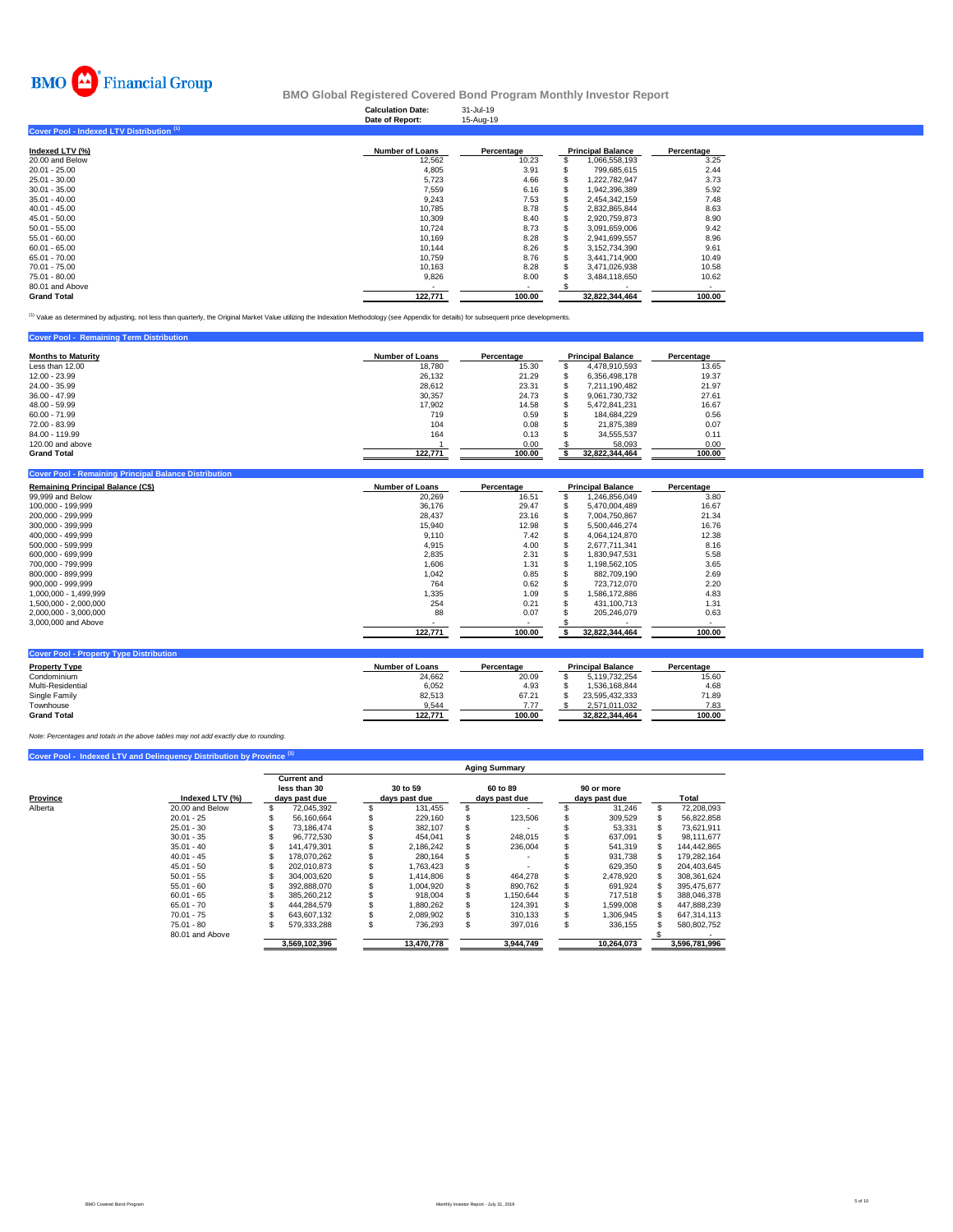

**Calculation Date:** 31-Jul-19 **Date of Report:** 15-Aug-19 **Cover Pool - Indexed LTV Distribution (1) Indexed LTV (%) Number of Loans Percentage Principal Balance Percentage** 20.00 and Below 12,562 10.23 \$ 1,066,558,193 3.25 20.01 - 25.00 4,805 3.91 \$ 799,685,615 2.44

| <b>Grand Total</b> | 122,771 | 100.00 |   | 32.822.344.464 | 100.00 |
|--------------------|---------|--------|---|----------------|--------|
| 80.01 and Above    |         |        |   |                |        |
| 75.01 - 80.00      | 9.826   | 8.00   |   | 3.484.118.650  | 10.62  |
| 70.01 - 75.00      | 10.163  | 8.28   |   | 3.471.026.938  | 10.58  |
| 65.01 - 70.00      | 10.759  | 8.76   |   | 3.441.714.900  | 10.49  |
| $60.01 - 65.00$    | 10.144  | 8.26   |   | 3.152.734.390  | 9.61   |
| $55.01 - 60.00$    | 10.169  | 8.28   |   | 2,941,699,557  | 8.96   |
| $50.01 - 55.00$    | 10.724  | 8.73   |   | 3.091.659.006  | 9.42   |
| $45.01 - 50.00$    | 10.309  | 8.40   | S | 2.920.759.873  | 8.90   |
| $40.01 - 45.00$    | 10.785  | 8.78   | S | 2.832.865.844  | 8.63   |
| $35.01 - 40.00$    | 9.243   | 7.53   |   | 2.454.342.159  | 7.48   |
| $30.01 - 35.00$    | 7,559   | 6.16   | S | 1,942,396,389  | 5.92   |
| 25.01 - 30.00      | 5.723   | 4.66   |   | 1.222.782.947  | 3.73   |
| 20.01 - 25.00      | 4.805   | 3.91   |   | 799.685.615    | 2.44   |

<sup>(1)</sup> Value as determined by adjusting, not less than quarterly, the Original Market Value utilizing the Indexation Methodology (see Appendix for details) for subsequent price developments.

| <b>Cover Pool - Remaining Term Distribution</b> |                 |            |                          |            |
|-------------------------------------------------|-----------------|------------|--------------------------|------------|
| <b>Months to Maturity</b>                       | Number of Loans | Percentage | <b>Principal Balance</b> | Percentage |
| Less than 12.00                                 | 18.780          | 15.30      | 4,478,910,593            | 13.65      |
| 12.00 - 23.99                                   | 26.132          | 21.29      | 6.356.498.178            | 19.37      |
| 24.00 - 35.99                                   | 28.612          | 23.31      | 7.211.190.482            | 21.97      |
| $36.00 - 47.99$                                 | 30.357          | 24.73      | 9.061.730.732            | 27.61      |
| $48.00 - 59.99$                                 | 17.902          | 14.58      | 5.472.841.231            | 16.67      |
| $60.00 - 71.99$                                 | 719             | 0.59       | 184.684.229              | 0.56       |
| 72.00 - 83.99                                   | 104             | 0.08       | 21.875.389               | 0.07       |
| 84.00 - 119.99                                  | 164             | 0.13       | 34.555.537               | 0.11       |
| 120,00 and above                                |                 | 0.00       | 58.093                   | 0.00       |
| <b>Grand Total</b>                              | 122.771         | 100.00     | 32,822,344,464           | 100.00     |

| <b>Remaining Principal Balance (C\$)</b> | <b>Number of Loans</b> | Percentage | <b>Principal Balance</b> | Percentage |  |  |
|------------------------------------------|------------------------|------------|--------------------------|------------|--|--|
| 99,999 and Below                         | 20,269                 | 16.51      | 1,246,856,049            | 3.80       |  |  |
| 100.000 - 199.999                        | 36.176                 | 29.47      | 5.470.004.489            | 16.67      |  |  |
| 200.000 - 299.999                        | 28.437                 | 23.16      | 7.004.750.867            | 21.34      |  |  |
| 300.000 - 399.999                        | 15,940                 | 12.98      | 5.500.446.274            | 16.76      |  |  |
| 400.000 - 499.999                        | 9,110                  | 7.42       | 4.064.124.870            | 12.38      |  |  |
| 500.000 - 599.999                        | 4,915                  | 4.00       | 2.677.711.341            | 8.16       |  |  |
| 600.000 - 699.999                        | 2,835                  | 2.31       | 1.830.947.531            | 5.58       |  |  |
| 700.000 - 799.999                        | 1,606                  | 1.31       | 1.198.562.105            | 3.65       |  |  |
| 800.000 - 899.999                        | 1,042                  | 0.85       | 882.709.190              | 2.69       |  |  |
| 900.000 - 999.999                        | 764                    | 0.62       | 723.712.070              | 2.20       |  |  |
| 1,000,000 - 1,499,999                    | 1,335                  | 1.09       | 1.586.172.886            | 4.83       |  |  |
| 1,500,000 - 2,000,000                    | 254                    | 0.21       | 431,100,713              | 1.31       |  |  |
| 2,000,000 - 3,000,000                    | 88                     | 0.07       | 205,246,079              | 0.63       |  |  |
| 3,000,000 and Above                      |                        | ۰          |                          |            |  |  |
|                                          | 122,771                | 100.00     | 32,822,344,464           | 100.00     |  |  |

| <b>Property Type</b> | <b>Number of Loans</b> | Percentage | <b>Principal Balance</b> | Percentage |
|----------------------|------------------------|------------|--------------------------|------------|
| Condominium          | 24.662                 | 20.09      | 5.119.732.254            | 15.60      |
| Multi-Residential    | 6,052                  | 4.93       | 1.536.168.844            | 4.68       |
| Single Family        | 82.513                 | 67.21      | 23.595.432.333           | 71.89      |
| Townhouse            | 9.544                  | 7.77       | 2.571.011.032            | 7.83       |
| <b>Grand Total</b>   | 122.771                | 100.00     | 32.822.344.464           | 100.00     |

*Note: Percentages and totals in the above tables may not add exactly due to rounding.*

|          |                 | <b>Aging Summary</b> |               |          |               |   |               |  |               |     |               |  |  |  |  |
|----------|-----------------|----------------------|---------------|----------|---------------|---|---------------|--|---------------|-----|---------------|--|--|--|--|
|          |                 |                      | Current and   |          |               |   |               |  |               |     |               |  |  |  |  |
|          |                 |                      | less than 30  | 30 to 59 |               |   | 60 to 89      |  | 90 or more    |     |               |  |  |  |  |
| Province | Indexed LTV (%) |                      | days past due |          | days past due |   | days past due |  | days past due |     | Total         |  |  |  |  |
| Alberta  | 20.00 and Below |                      | 72,045,392    |          | 131,455       |   |               |  | 31,246        | \$. | 72,208,093    |  |  |  |  |
|          | $20.01 - 25$    |                      | 56.160.664    |          | 229,160       |   | 123.506       |  | 309,529       |     | 56,822,858    |  |  |  |  |
|          | $25.01 - 30$    |                      | 73.186.474    |          | 382,107       |   |               |  | 53,331        |     | 73,621,911    |  |  |  |  |
|          | $30.01 - 35$    |                      | 96.772.530    |          | 454.041       |   | 248.015       |  | 637,091       |     | 98,111,677    |  |  |  |  |
|          | $35.01 - 40$    |                      | 141.479.301   |          | 2.186.242     |   | 236.004       |  | 541,319       |     | 144.442.865   |  |  |  |  |
|          | $40.01 - 45$    |                      | 178.070.262   |          | 280.164       |   |               |  | 931.738       |     | 179,282,164   |  |  |  |  |
|          | $45.01 - 50$    |                      | 202.010.873   |          | 1,763,423     |   |               |  | 629,350       |     | 204,403,645   |  |  |  |  |
|          | $50.01 - 55$    |                      | 304.003.620   |          | 1.414.806     |   | 464.278       |  | 2.478.920     |     | 308.361.624   |  |  |  |  |
|          | $55.01 - 60$    |                      | 392,888,070   |          | 1,004,920     |   | 890,762       |  | 691,924       |     | 395,475,677   |  |  |  |  |
|          | $60.01 - 65$    |                      | 385.260.212   |          | 918.004       |   | 1.150.644     |  | 717.518       |     | 388.046.378   |  |  |  |  |
|          | $65.01 - 70$    |                      | 444.284.579   |          | 1.880.262     |   | 124.391       |  | 1,599,008     |     | 447.888.239   |  |  |  |  |
|          | $70.01 - 75$    |                      | 643.607.132   |          | 2.089.902     |   | 310.133       |  | 1,306,945     |     | 647,314,113   |  |  |  |  |
|          | $75.01 - 80$    |                      | 579.333.288   |          | 736.293       | S | 397.016       |  | 336.155       |     | 580,802,752   |  |  |  |  |
|          | 80.01 and Above |                      |               |          |               |   |               |  |               |     |               |  |  |  |  |
|          |                 |                      | 3.569.102.396 |          | 13,470,778    |   | 3,944,749     |  | 10.264.073    |     | 3,596,781,996 |  |  |  |  |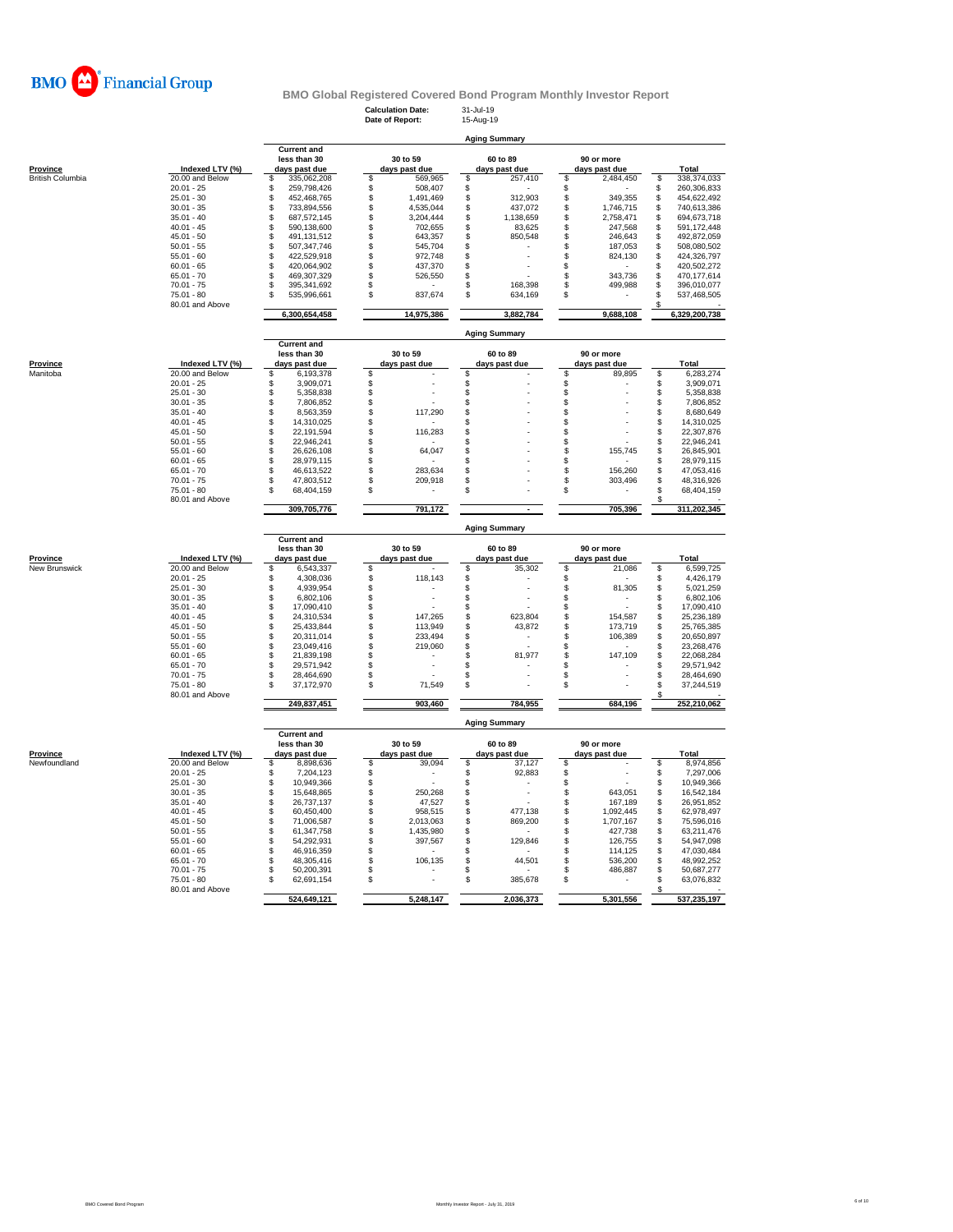

**Calculation Date:** 31-Jul-19 **Date of Report:** 15-Aug-19

|                  |                                 | <b>Aging Summary</b>                    |          |                           |          |                           |          |                             |          |                              |  |  |  |  |
|------------------|---------------------------------|-----------------------------------------|----------|---------------------------|----------|---------------------------|----------|-----------------------------|----------|------------------------------|--|--|--|--|
|                  |                                 | <b>Current and</b>                      |          |                           |          |                           |          |                             |          |                              |  |  |  |  |
| <u>Province</u>  | Indexed LTV (%)                 | less than 30<br>days past due           |          | 30 to 59<br>days past due |          | 60 to 89<br>days past due |          | 90 or more<br>days past due |          | <b>Total</b>                 |  |  |  |  |
| British Columbia | 20.00 and Below                 | \$<br>335,062,208                       | \$       | 569,965                   | \$       | 257,410                   | \$       | 2,484,450                   | \$       | 338,374,033                  |  |  |  |  |
|                  | $20.01 - 25$                    | \$<br>259,798,426                       | \$       | 508,407                   | \$       |                           | \$       |                             | \$       | 260,306,833                  |  |  |  |  |
|                  | $25.01 - 30$                    | \$<br>452,468,765                       | \$       | 1,491,469                 | \$       | 312,903                   | \$       | 349,355                     | \$       | 454,622,492                  |  |  |  |  |
|                  | $30.01 - 35$                    | \$<br>733,894,556                       | \$       | 4,535,044                 | \$       | 437,072                   | \$       | 1,746,715                   | \$       | 740,613,386                  |  |  |  |  |
|                  | $35.01 - 40$                    | \$<br>687,572,145                       | \$       | 3,204,444                 | \$       | 1,138,659                 | \$       | 2,758,471                   | \$       | 694,673,718                  |  |  |  |  |
|                  | $40.01 - 45$                    | \$<br>590,138,600                       | \$       | 702,655                   |          | 83,625                    | \$       | 247,568                     | \$       | 591, 172, 448                |  |  |  |  |
|                  | $45.01 - 50$                    | \$<br>491,131,512                       | \$       | 643,357                   | \$       | 850,548                   | \$       | 246,643                     | \$       | 492,872,059                  |  |  |  |  |
|                  | $50.01 - 55$                    | S<br>507, 347, 746                      | \$       | 545,704                   | \$       |                           | S        | 187,053                     | \$       | 508,080,502                  |  |  |  |  |
|                  | $55.01 - 60$                    | \$<br>422,529,918                       | \$       | 972,748                   | \$       |                           | \$       | 824,130                     | \$       | 424,326,797                  |  |  |  |  |
|                  | $60.01 - 65$<br>$65.01 - 70$    | \$<br>420,064,902                       | \$       | 437,370                   | \$       |                           | \$       |                             | \$       | 420,502,272                  |  |  |  |  |
|                  | $70.01 - 75$                    | \$<br>469,307,329<br>S<br>395, 341, 692 | \$<br>\$ | 526,550                   | \$<br>\$ | 168,398                   | \$<br>S  | 343,736<br>499,988          | \$<br>\$ | 470, 177, 614<br>396,010,077 |  |  |  |  |
|                  | $75.01 - 80$                    | \$<br>535,996,661                       | \$       | 837,674                   | \$       | 634,169                   | \$       |                             | \$       | 537,468,505                  |  |  |  |  |
|                  | 80.01 and Above                 |                                         |          |                           |          |                           |          |                             | S        |                              |  |  |  |  |
|                  |                                 | 6,300,654,458                           |          | 14,975,386                |          | 3,882,784                 |          | 9,688,108                   |          | 6,329,200,738                |  |  |  |  |
|                  |                                 |                                         |          |                           |          | <b>Aging Summary</b>      |          |                             |          |                              |  |  |  |  |
|                  |                                 | <b>Current and</b><br>less than 30      |          | 30 to 59                  |          | 60 to 89                  |          | 90 or more                  |          |                              |  |  |  |  |
| Province         | Indexed LTV (%)                 |                                         |          |                           |          |                           |          |                             |          | Total                        |  |  |  |  |
| Manitoba         | 20.00 and Below                 | days past due<br>\$<br>6,193,378        | \$       | days past due             | Ŝ        | days past due             | \$       | days past due<br>89,895     | \$       | 6,283,274                    |  |  |  |  |
|                  | $20.01 - 25$                    | 3,909,071<br>\$                         |          |                           |          |                           |          |                             | \$       | 3,909,071                    |  |  |  |  |
|                  | $25.01 - 30$                    | \$<br>5,358,838                         | \$       |                           | \$       |                           | \$       |                             | \$       | 5,358,838                    |  |  |  |  |
|                  | $30.01 - 35$                    | \$<br>7,806,852                         | \$       |                           | \$       |                           | \$       |                             | \$       | 7,806,852                    |  |  |  |  |
|                  | $35.01 - 40$                    | \$<br>8,563,359                         | \$       | 117,290                   | \$       |                           | \$       |                             | \$       | 8,680,649                    |  |  |  |  |
|                  | $40.01 - 45$                    | \$<br>14,310,025                        | \$       |                           | \$       |                           | \$       |                             | \$       | 14,310,025                   |  |  |  |  |
|                  | $45.01 - 50$                    | \$<br>22,191,594                        | \$       | 116,283                   | \$       |                           | \$       |                             | \$       | 22,307,876                   |  |  |  |  |
|                  | $50.01 - 55$                    | \$<br>22,946,241                        | \$       |                           | \$       |                           | \$       |                             | \$       | 22,946,241                   |  |  |  |  |
|                  | $55.01 - 60$                    | \$<br>26,626,108                        | \$       | 64,047                    | \$       |                           | \$       | 155,745                     | \$       | 26,845,901                   |  |  |  |  |
|                  | $60.01 - 65$                    | 28,979,115<br>\$                        | \$       |                           | \$       |                           | \$       |                             | \$       | 28,979,115                   |  |  |  |  |
|                  | $65.01 - 70$                    | \$<br>46,613,522                        | \$       | 283,634                   | \$       |                           | \$       | 156,260                     | \$       | 47,053,416                   |  |  |  |  |
|                  | $70.01 - 75$                    | \$<br>47,803,512                        | \$       | 209,918                   | \$       |                           | \$       | 303,496                     | \$       | 48,316,926                   |  |  |  |  |
|                  | 75.01 - 80                      | \$<br>68,404,159                        | \$       |                           | \$       |                           | \$       |                             | \$       | 68,404,159                   |  |  |  |  |
|                  | 80.01 and Above                 | 309,705,776                             |          | 791,172                   |          |                           |          | 705,396                     | S        | 311,202,345                  |  |  |  |  |
|                  |                                 |                                         |          |                           |          |                           |          |                             |          |                              |  |  |  |  |
|                  |                                 | <b>Current and</b>                      |          |                           |          | <b>Aging Summary</b>      |          |                             |          |                              |  |  |  |  |
|                  |                                 | less than 30                            |          | 30 to 59                  |          | 60 to 89                  |          | 90 or more                  |          |                              |  |  |  |  |
| <b>Province</b>  | Indexed LTV (%)                 | days past due                           |          | days past due             |          | days past due             |          | days past due               |          | <b>Total</b>                 |  |  |  |  |
| New Brunswick    | 20.00 and Below                 | \$<br>6,543,337                         | \$       |                           | \$       | 35,302                    | \$       | 21,086                      | \$       | 6,599,725                    |  |  |  |  |
|                  | $20.01 - 25$                    | \$<br>4,308,036                         | \$       | 118,143                   | \$       |                           | \$       |                             | \$       | 4,426,179                    |  |  |  |  |
|                  | $25.01 - 30$                    | \$<br>4,939,954                         | \$       |                           | \$       |                           | \$       | 81,305                      | \$       | 5,021,259                    |  |  |  |  |
|                  | $30.01 - 35$                    | \$<br>6,802,106                         |          |                           | \$       |                           | \$       | ٠                           | \$       | 6,802,106                    |  |  |  |  |
|                  | $35.01 - 40$                    | \$<br>17,090,410                        | \$       |                           | \$       |                           | \$       |                             | \$       | 17,090,410                   |  |  |  |  |
|                  | $40.01 - 45$                    | \$<br>24,310,534                        | \$       | 147,265                   | \$       | 623,804                   | S        | 154,587                     | \$       | 25,236,189                   |  |  |  |  |
|                  | $45.01 - 50$                    | \$<br>25,433,844                        | \$       | 113,949                   | \$       | 43,872                    | \$       | 173,719                     | \$       | 25,765,385                   |  |  |  |  |
|                  | $50.01 - 55$                    | \$<br>20,311,014                        | \$       | 233,494                   | \$       |                           | \$       | 106,389                     | \$       | 20,650,897                   |  |  |  |  |
|                  | $55.01 - 60$                    | 23,049,416<br>\$<br>\$<br>21,839,198    | \$<br>\$ | 219,060                   | \$<br>\$ |                           | \$<br>S  | 147,109                     | \$       | 23,268,476<br>22,068,284     |  |  |  |  |
|                  | $60.01 - 65$                    |                                         | \$       |                           |          | 81,977                    |          |                             | \$<br>\$ |                              |  |  |  |  |
|                  | $65.01 - 70$<br>$70.01 - 75$    | \$<br>29,571,942<br>\$<br>28,464,690    | \$       |                           | \$<br>\$ |                           | \$<br>\$ |                             | \$       | 29,571,942<br>28,464,690     |  |  |  |  |
|                  | $75.01 - 80$                    | 37, 172, 970<br>\$                      | \$       | 71,549                    | \$       |                           | \$       |                             | \$       | 37,244,519                   |  |  |  |  |
|                  | 80.01 and Above                 |                                         |          |                           |          |                           |          |                             |          |                              |  |  |  |  |
|                  |                                 | 249,837,451                             |          | 903,460                   |          | 784,955                   |          | 684,196                     |          | 252,210,062                  |  |  |  |  |
|                  |                                 | <b>Current and</b>                      |          |                           |          | <b>Aging Summary</b>      |          |                             |          |                              |  |  |  |  |
|                  |                                 | less than 30                            |          | 30 to 59                  |          | 60 to 89                  |          | 90 or more                  |          |                              |  |  |  |  |
| <b>Province</b>  | Indexed LTV (%)                 | days past due                           |          | days past due             |          | days past due             |          | days past due               |          | Total                        |  |  |  |  |
| Newfoundland     | 20.00 and Below                 | \$<br>8,898,636                         | \$       | 39,094                    | \$       | 37,127                    | \$       |                             | \$       | 8,974,856                    |  |  |  |  |
|                  | $20.01 - 25$                    | \$<br>7,204,123                         | \$       | $\overline{a}$            | \$       | 92,883                    | \$       |                             | \$       | 7,297,006                    |  |  |  |  |
|                  | $25.01 - 30$                    | \$<br>10,949,366                        | \$       |                           | \$       |                           | \$       |                             | \$       | 10,949,366                   |  |  |  |  |
|                  | $30.01 - 35$                    | \$<br>15,648,865                        | \$       | 250,268                   | \$       |                           | S        | 643,051                     | \$       | 16,542,184                   |  |  |  |  |
|                  | $35.01 - 40$                    | \$<br>26,737,137                        | \$       | 47,527                    | \$       |                           | \$       | 167,189                     | \$       | 26,951,852                   |  |  |  |  |
|                  |                                 |                                         | \$       | 958,515                   | \$       | 477,138                   | \$       | 1,092,445                   | \$       | 62,978,497                   |  |  |  |  |
|                  | $40.01 - 45$                    | \$<br>60,450,400                        |          |                           |          |                           |          |                             |          |                              |  |  |  |  |
|                  | $45.01 - 50$                    | \$<br>71,006,587                        | \$       | 2,013,063                 | \$       | 869,200                   | \$       | 1,707,167                   | \$       | 75,596,016                   |  |  |  |  |
|                  | $50.01 - 55$                    | \$<br>61,347,758                        | \$       | 1,435,980                 | \$       |                           | \$       | 427,738                     | \$       | 63,211,476                   |  |  |  |  |
|                  | $55.01 - 60$                    | \$<br>54,292,931                        | \$       | 397,567                   | \$       | 129,846                   | \$       | 126,755                     | \$       | 54,947,098                   |  |  |  |  |
|                  | $60.01 - 65$                    | \$<br>46,916,359                        | \$       |                           | \$       |                           | S        | 114,125                     | \$       | 47,030,484                   |  |  |  |  |
|                  | $65.01 - 70$                    | \$<br>48,305,416                        | \$       | 106,135                   | \$       | 44,501                    | \$       | 536,200                     | \$       | 48,992,252                   |  |  |  |  |
|                  | $70.01 - 75$                    | 50,200,391<br>\$                        | \$       |                           | \$       |                           | \$       | 486,887                     | \$       | 50,687,277                   |  |  |  |  |
|                  | $75.01 - 80$<br>80.01 and Above | \$<br>62,691,154                        | \$       |                           | Ŝ        | 385,678                   | \$       |                             | \$<br>\$ | 63,076,832                   |  |  |  |  |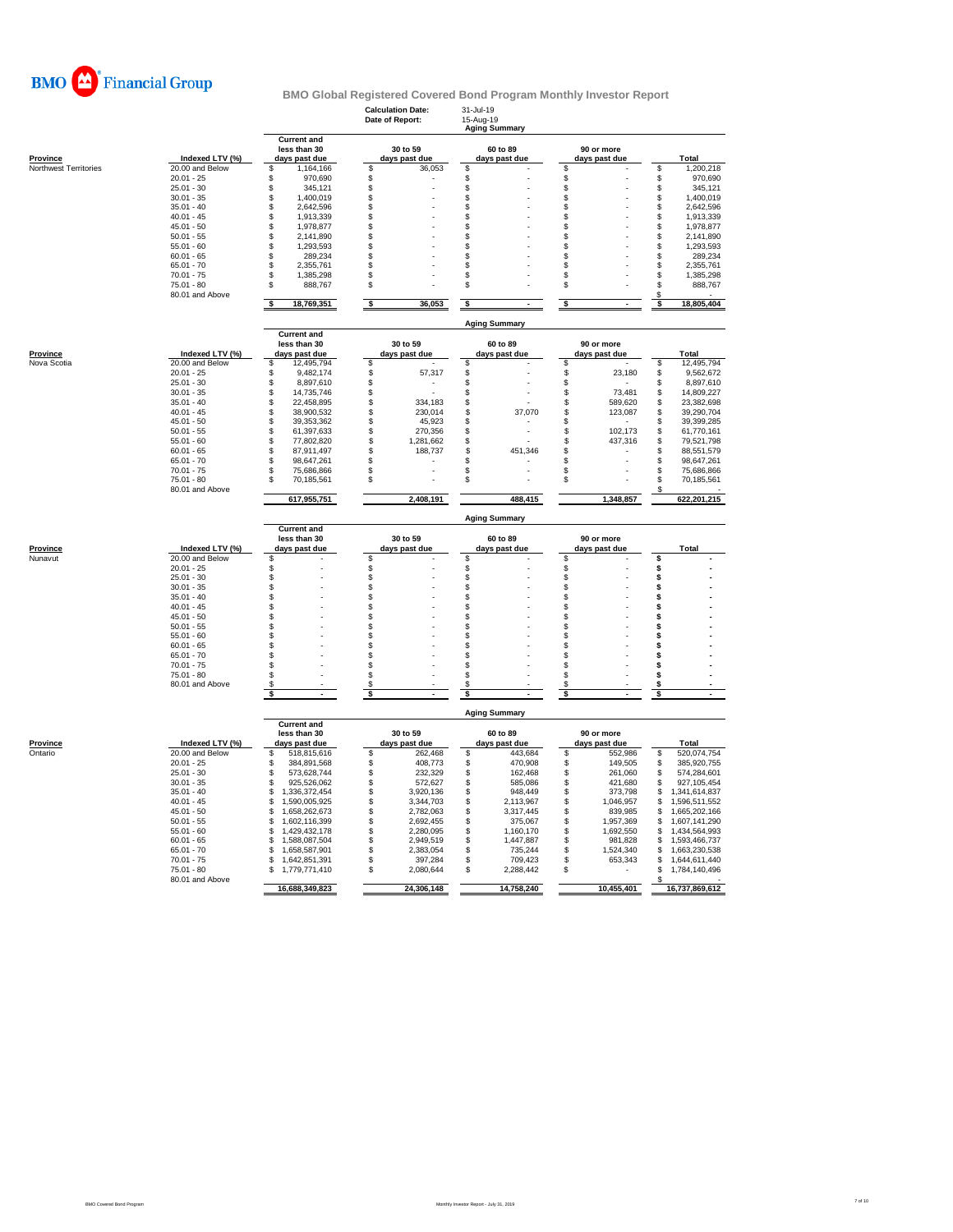

|                                |                                    |                                                     | <b>Calculation Date:</b><br>Date of Report: | 31-Jul-19<br>15-Aug-19<br>Aging Summary |                             |                                          |
|--------------------------------|------------------------------------|-----------------------------------------------------|---------------------------------------------|-----------------------------------------|-----------------------------|------------------------------------------|
| Province                       | Indexed LTV (%)                    | <b>Current and</b><br>less than 30<br>days past due | 30 to 59<br>days past due                   | 60 to 89<br>days past due               | 90 or more<br>days past due | Total                                    |
| Northwest Territories          | 20.00 and Below                    | \$<br>1,164,166                                     | \$<br>36,053                                | \$                                      | \$                          | \$<br>1,200,218                          |
|                                | $20.01 - 25$                       | \$.<br>970,690                                      | \$                                          | \$                                      | \$                          | S<br>970,690                             |
|                                | $25.01 - 30$                       | \$<br>345,121                                       | \$                                          | \$                                      | \$                          | \$<br>345,121                            |
|                                | $30.01 - 35$                       | \$<br>1,400,019                                     | \$                                          | \$                                      | \$                          | \$<br>1,400,019                          |
|                                | $35.01 - 40$                       | \$<br>2,642,596                                     | \$                                          | \$                                      | \$                          | \$<br>2,642,596                          |
|                                | $40.01 - 45$                       | \$<br>1,913,339                                     | \$                                          | \$                                      | \$                          | \$<br>1,913,339                          |
|                                | $45.01 - 50$                       | \$<br>1,978,877                                     | \$                                          | \$                                      | \$                          | S<br>1,978,877                           |
|                                | $50.01 - 55$                       | 2,141,890<br>\$                                     | \$                                          | \$                                      | \$                          | \$<br>2,141,890                          |
|                                | $55.01 - 60$<br>$60.01 - 65$       | \$<br>1,293,593<br>\$<br>289,234                    | \$<br>\$                                    | \$<br>\$                                | \$<br>\$                    | \$<br>1,293,593<br>\$<br>289,234         |
|                                | $65.01 - 70$                       | \$<br>2,355,761                                     | \$                                          | \$                                      | \$                          | \$<br>2,355,761                          |
|                                | $70.01 - 75$                       | \$<br>1,385,298                                     | \$                                          | \$                                      | \$                          | \$<br>1,385,298                          |
|                                | $75.01 - 80$                       | \$<br>888,767                                       | \$                                          | \$                                      | \$                          | 888,767<br>S                             |
|                                | 80.01 and Above                    | 18,769,351<br>\$                                    | \$<br>36,053                                | \$                                      | s                           | \$<br>18,805,404<br>\$                   |
|                                |                                    |                                                     |                                             | <b>Aging Summary</b>                    |                             |                                          |
|                                |                                    | <b>Current and</b>                                  |                                             |                                         |                             |                                          |
|                                |                                    | less than 30                                        | 30 to 59                                    | 60 to 89                                | 90 or more                  |                                          |
| <b>Province</b><br>Nova Scotia | Indexed LTV (%)<br>20.00 and Below | days past due<br>\$<br>12,495,794                   | days past due<br>\$                         | days past due<br>Ŝ                      | days past due<br>\$         | Total<br>\$<br>12,495,794                |
|                                | $20.01 - 25$                       | \$                                                  |                                             |                                         |                             |                                          |
|                                | $25.01 - 30$                       | 9,482,174<br>\$<br>8,897,610                        | \$<br>57,317<br>\$                          | \$<br>\$                                | \$<br>23,180<br>\$          | \$<br>9,562,672<br>\$<br>8,897,610       |
|                                | $30.01 - 35$                       | 14,735,746<br>\$                                    | \$                                          | \$                                      | \$<br>73,481                | 14,809,227<br>\$                         |
|                                | $35.01 - 40$                       | \$<br>22.458.895                                    | \$<br>334,183                               | \$                                      | \$<br>589,620               | \$<br>23,382,698                         |
|                                | $40.01 - 45$                       | \$<br>38,900,532                                    | \$<br>230,014                               | \$<br>37,070                            | \$<br>123,087               | \$<br>39,290,704                         |
|                                | $45.01 - 50$                       | \$<br>39, 353, 362                                  | \$<br>45,923                                | \$                                      | \$                          | \$<br>39,399,285                         |
|                                | $50.01 - 55$                       | \$<br>61,397,633                                    | \$<br>270,356                               | \$                                      | \$<br>102.173               | \$<br>61,770,161                         |
|                                | $55.01 - 60$                       | \$<br>77,802,820                                    | \$<br>1,281,662                             | \$                                      | \$<br>437,316               | \$<br>79,521,798                         |
|                                | $60.01 - 65$                       | S<br>87,911,497                                     | \$<br>188,737                               | \$<br>451,346                           | \$                          | \$<br>88,551,579                         |
|                                | $65.01 - 70$                       | \$<br>98,647,261                                    | \$                                          | S                                       | \$                          | \$<br>98,647,261                         |
|                                | $70.01 - 75$                       | \$<br>75,686,866                                    | \$                                          | \$                                      | \$                          | \$<br>75,686,866                         |
|                                | $75.01 - 80$                       | \$<br>70,185,561                                    | \$                                          | \$                                      | \$                          | \$<br>70,185,561                         |
|                                | 80.01 and Above                    | 617,955,751                                         | 2,408,191                                   | 488,415                                 | 1.348.857                   | S<br>622,201,215                         |
|                                |                                    |                                                     |                                             | <b>Aging Summary</b>                    |                             |                                          |
|                                |                                    | <b>Current and</b><br>less than 30                  | 30 to 59                                    | 60 to 89                                | 90 or more                  |                                          |
|                                |                                    |                                                     | days past due                               | days past due                           | days past due               | <b>Total</b>                             |
|                                |                                    |                                                     |                                             |                                         |                             |                                          |
| Province<br>Nunavut            | Indexed LTV (%)<br>20.00 and Below | days past due<br>\$                                 | \$                                          | S                                       | \$                          | Ś                                        |
|                                | $20.01 - 25$                       | \$                                                  | \$                                          |                                         |                             | s                                        |
|                                | 25.01 - 30                         | \$                                                  | $\ddot{\$}$                                 | \$                                      | \$                          | s                                        |
|                                | $30.01 - 35$                       | \$                                                  | \$                                          | \$                                      | \$                          | Ś                                        |
|                                | $35.01 - 40$                       | \$                                                  | \$                                          | \$                                      | \$                          | Ś                                        |
|                                | $40.01 - 45$                       | \$                                                  | \$                                          | \$                                      | \$                          | s                                        |
|                                | $45.01 - 50$                       | \$                                                  | \$                                          | \$                                      | \$                          | Ś                                        |
|                                | $50.01 - 55$                       | \$                                                  | \$                                          | \$                                      | \$                          | Ś                                        |
|                                | $55.01 - 60$                       | \$                                                  | \$                                          | \$                                      | \$                          | s                                        |
|                                | $60.01 - 65$                       | \$<br>\$.                                           | \$<br>\$.                                   | \$                                      | \$                          | s<br>\$.                                 |
|                                | $65.01 - 70$                       | \$                                                  |                                             | \$<br>\$                                | \$<br>\$                    | s                                        |
|                                | $70.01 - 75$<br>$75.01 - 80$       | \$                                                  | \$<br>\$                                    | \$                                      | \$                          | Ś                                        |
|                                | 80.01 and Above                    | \$.                                                 | \$                                          | \$                                      | \$                          | s                                        |
|                                |                                    | s                                                   | \$                                          | \$                                      | S                           | s                                        |
|                                |                                    |                                                     |                                             | <b>Aging Summary</b>                    |                             |                                          |
|                                |                                    | <b>Current and</b><br>less than 30                  | 30 to 59                                    | 60 to 89                                | 90 or more                  |                                          |
| Province                       | Indexed LTV (%)                    | days past due                                       | days past due                               | days past due                           | days past due               | Total                                    |
| Ontario                        | 20.00 and Below                    | \$<br>518,815,616                                   | \$<br>262,468                               | \$<br>443,684                           | \$<br>552,986               | 520,074,754<br>\$                        |
|                                | $20.01 - 25$                       | 384,891,568<br>\$                                   | \$<br>408,773                               | 470.908<br>\$                           | 149,505<br>\$               | \$<br>385,920,755                        |
|                                | $25.01 - 30$<br>$30.01 - 35$       | \$<br>573,628,744<br>\$.                            | \$<br>232,329                               | \$<br>162,468                           | \$<br>261,060               | \$<br>574,284,601                        |
|                                | $35.01 - 40$                       | 925,526,062<br>\$<br>1,336,372,454                  | \$<br>572,627<br>S<br>3,920,136             | \$<br>585,086<br>\$<br>948,449          | \$<br>421,680<br>373,798    | \$<br>927,105,454<br>\$<br>1,341,614,837 |
|                                | $40.01 - 45$                       | S<br>1,590,005,925                                  | \$<br>3,344,703                             | \$<br>2,113,967                         | \$<br>\$<br>1,046,957       | S<br>1,596,511,552                       |
|                                | $45.01 - 50$                       | 1.658.262.673<br>S                                  | \$<br>2,782,063                             | 3,317,445<br>\$                         | \$<br>839,985               | \$<br>1,665,202,166                      |
|                                | $50.01 - 55$                       | 1,602,116,399<br>S                                  | \$<br>2,692,455                             | \$<br>375,067                           | 1,957,369<br>\$             | 1,607,141,290<br>\$                      |
|                                | $55.01 - 60$                       | 1,429,432,178<br>S                                  | \$<br>2,280,095                             | \$<br>1,160,170                         | \$<br>1,692,550             | \$<br>1,434,564,993                      |
|                                | $60.01 - 65$                       | \$<br>1,588,087,504                                 | \$<br>2,949,519                             | \$<br>1,447,887                         | \$<br>981,828               | \$<br>1,593,466,737                      |
|                                | $65.01 - 70$                       | \$<br>1,658,587,901                                 | \$<br>2,383,054                             | \$<br>735,244                           | \$<br>1,524,340             | \$<br>1,663,230,538                      |
|                                | $70.01 - 75$                       | 1,642,851,391<br>\$                                 | \$<br>397,284                               | \$<br>709.423                           | 653,343<br>\$               | \$<br>1,644,611,440                      |
|                                | $75.01 - 80$                       | 1,779,771,410<br>S                                  | \$<br>2,080,644                             | 2,288,442<br>S                          | S                           | 1,784,140,496<br>\$                      |
|                                | 80.01 and Above                    |                                                     |                                             |                                         |                             |                                          |
|                                |                                    | 16,688,349,823                                      | 24,306,148                                  | 14,758,240                              | 10,455,401                  | 16,737,869,612                           |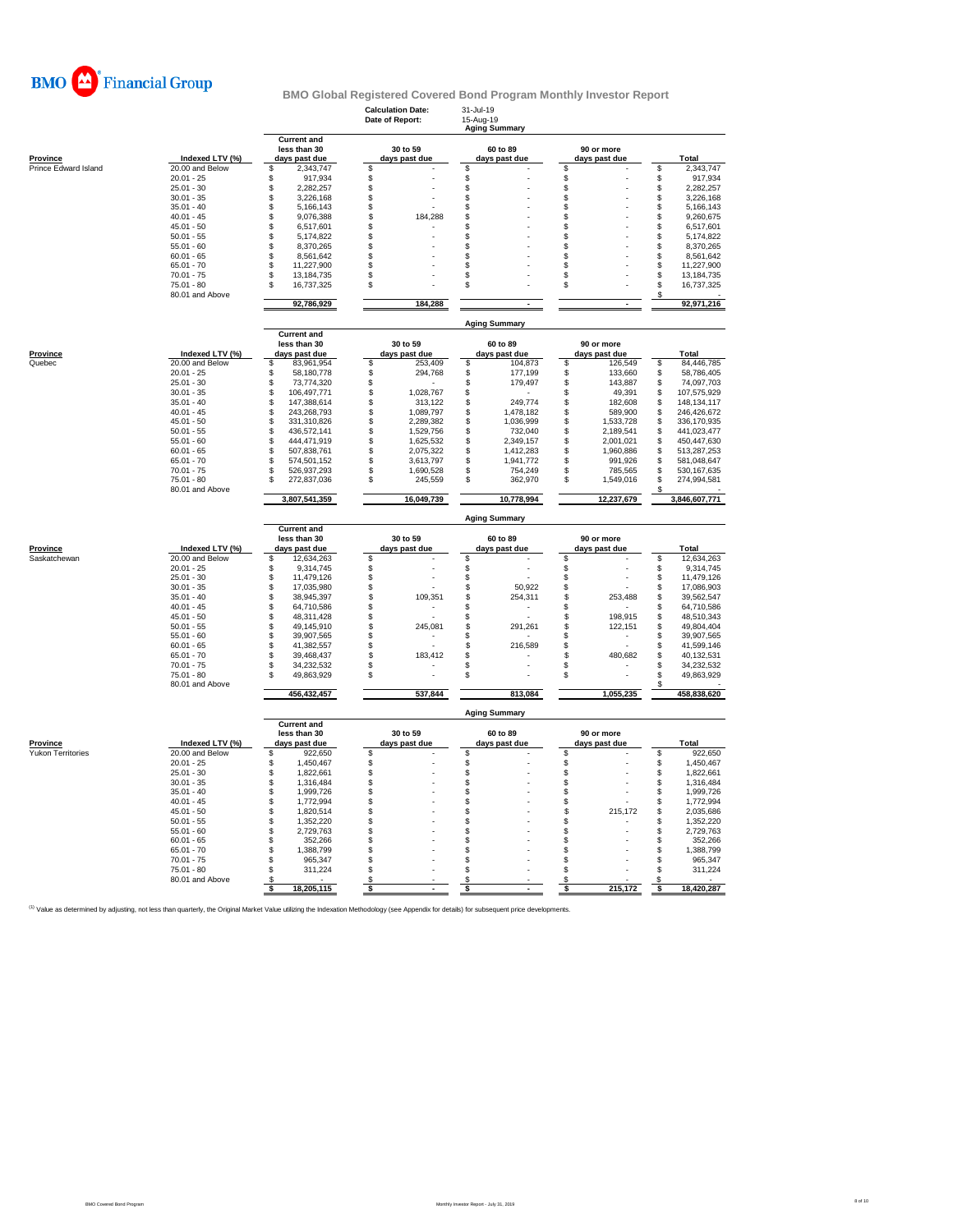

|                      |                                 |                                                     | <b>Calculation Date:</b><br>Date of Report: |                           | 31-Jul-19<br>15-Aug-19<br>Aging Summary |                           |          |                             |          |                          |
|----------------------|---------------------------------|-----------------------------------------------------|---------------------------------------------|---------------------------|-----------------------------------------|---------------------------|----------|-----------------------------|----------|--------------------------|
| <b>Province</b>      | Indexed LTV (%)                 | <b>Current and</b><br>less than 30<br>days past due |                                             | 30 to 59<br>days past due |                                         | 60 to 89<br>days past due |          | 90 or more<br>days past due |          | Total                    |
| Prince Edward Island | 20,00 and Below                 | \$<br>2,343,747                                     | \$                                          |                           | S                                       |                           | S        |                             | \$       | 2,343,747                |
|                      | $20.01 - 25$                    | \$<br>917,934                                       | \$                                          |                           | \$                                      |                           | \$       |                             | \$       | 917,934                  |
|                      | $25.01 - 30$                    | \$<br>2,282,257                                     | \$                                          |                           | \$                                      |                           | \$       |                             | \$       | 2,282,257                |
|                      | $30.01 - 35$                    | \$<br>3,226,168                                     | \$                                          |                           | \$                                      |                           | s        |                             | S        | 3,226,168                |
|                      | $35.01 - 40$                    | \$<br>5,166,143                                     | \$                                          |                           | S                                       |                           | S        |                             | \$       | 5,166,143                |
|                      | $40.01 - 45$                    | \$<br>9,076,388                                     | \$                                          | 184,288                   | S                                       |                           | S        |                             | \$       | 9,260,675                |
|                      | $45.01 - 50$                    | \$<br>6,517,601                                     | \$                                          |                           | S                                       |                           | \$.      |                             | \$       | 6,517,601                |
|                      | $50.01 - 55$                    | \$<br>5,174,822                                     | \$                                          |                           | \$                                      |                           | S        |                             | \$       | 5,174,822                |
|                      | $55.01 - 60$                    | \$<br>8,370,265                                     | \$                                          |                           | S                                       |                           | \$       |                             | \$       | 8,370,265                |
|                      | $60.01 - 65$                    | \$<br>8,561,642                                     | \$                                          |                           | \$.                                     |                           | \$.      |                             | \$       | 8,561,642                |
|                      | $65.01 - 70$                    | \$<br>11,227,900                                    | \$                                          |                           | S                                       |                           | S        |                             | \$       | 11,227,900               |
|                      | $70.01 - 75$                    | \$<br>13, 184, 735                                  | \$                                          |                           | S                                       |                           | S        |                             | \$       | 13, 184, 735             |
|                      | $75.01 - 80$<br>80.01 and Above | \$<br>16,737,325                                    | \$                                          |                           | S                                       |                           | \$       |                             | \$<br>\$ | 16,737,325               |
|                      |                                 | 92,786,929                                          |                                             | 184,288                   |                                         |                           |          | $\blacksquare$              |          | 92,971,216               |
|                      |                                 | <b>Current and</b>                                  |                                             |                           |                                         | <b>Aging Summary</b>      |          |                             |          |                          |
| <b>Province</b>      | Indexed LTV (%)                 | less than 30<br>days past due                       |                                             | 30 to 59<br>days past due |                                         | 60 to 89<br>days past due |          | 90 or more<br>days past due |          | Total                    |
| Quebec               | 20.00 and Below                 | \$<br>83,961,954                                    | \$                                          | 253,409                   | \$                                      | 104,873                   | \$       | 126,549                     | \$       | 84,446,785               |
|                      | $20.01 - 25$                    | \$<br>58,180,778                                    | \$                                          | 294,768                   | \$                                      | 177,199                   | \$       | 133,660                     | \$       | 58,786,405               |
|                      | $25.01 - 30$                    | \$<br>73,774,320                                    | \$                                          |                           | S                                       | 179,497                   | \$       | 143,887                     | \$       | 74,097,703               |
|                      | $30.01 - 35$                    | \$<br>106,497,771                                   | \$                                          | 1,028,767                 | \$                                      |                           | \$       | 49,391                      | \$       | 107,575,929              |
|                      | $35.01 - 40$                    | $\hat{\mathbb{S}}$<br>147,388,614                   | \$                                          | 313,122                   | \$                                      | 249,774                   | \$       | 182,608                     | \$       | 148, 134, 117            |
|                      | $40.01 - 45$                    | S<br>243,268,793                                    | \$                                          | 1,089,797                 | \$                                      | 1,478,182                 | \$       | 589,900                     | \$       | 246,426,672              |
|                      | $45.01 - 50$                    | \$<br>331,310,826                                   | \$                                          | 2,289,382                 | \$                                      | 1,036,999                 | \$       | 1,533,728                   | \$       | 336,170,935              |
|                      | $50.01 - 55$                    | \$<br>436,572,141                                   | $\overline{\mathbb{S}}$                     | 1,529,756                 | \$                                      | 732,040                   | \$.      | 2,189,541                   | \$       | 441,023,477              |
|                      | $55.01 - 60$                    | S<br>444,471,919                                    | S                                           | 1,625,532                 | \$                                      | 2,349,157                 | \$       | 2,001,021                   | \$       | 450,447,630              |
|                      | $60.01 - 65$                    | \$<br>507,838,761                                   | \$                                          | 2,075,322                 | \$                                      | 1,412,283                 | \$       | 1,960,886                   | \$       | 513,287,253              |
|                      | $65.01 - 70$                    | \$<br>574,501,152                                   | S                                           | 3.613.797                 | \$                                      | 1,941,772                 | \$.      | 991,926                     | \$       | 581,048,647              |
|                      | $70.01 - 75$                    | 526,937,293<br>S                                    | \$                                          | 1,690,528                 | \$                                      | 754,249                   | \$       | 785,565                     | \$       | 530, 167, 635            |
|                      | $75.01 - 80$<br>80.01 and Above | \$<br>272,837,036                                   | \$                                          | 245,559                   | \$                                      | 362,970                   | \$       | 1,549,016                   | \$<br>£. | 274,994,581              |
|                      |                                 | 3,807,541,359                                       |                                             | 16,049,739                |                                         | 10,778,994                |          | 12,237,679                  |          | 3,846,607,771            |
|                      |                                 | <b>Current and</b>                                  |                                             |                           |                                         | <b>Aging Summary</b>      |          |                             |          |                          |
|                      |                                 | less than 30                                        |                                             | 30 to 59                  |                                         | 60 to 89                  |          | 90 or more                  |          |                          |
| <b>Province</b>      | Indexed LTV (%)                 | days past due                                       |                                             | days past due             |                                         | days past due             |          | days past due               |          | Total                    |
| Saskatchewan         | 20.00 and Below                 | \$<br>12,634,263                                    | \$                                          |                           | S                                       |                           | S        |                             | \$       | 12,634,263               |
|                      | $20.01 - 25$                    | \$<br>9,314,745                                     | \$                                          |                           | S                                       |                           | \$       |                             | S        | 9,314,745                |
|                      | $25.01 - 30$                    | \$<br>11,479,126                                    | \$                                          |                           | \$                                      |                           | \$.      |                             | \$       | 11,479,126               |
|                      | $30.01 - 35$                    | \$<br>17,035,980                                    | \$                                          |                           | \$                                      | 50,922                    | \$       |                             | \$       | 17,086,903               |
|                      | $35.01 - 40$                    | \$<br>38,945,397                                    | \$                                          | 109,351                   | \$                                      | 254,311                   | \$<br>\$ | 253,488                     | \$       | 39,562,547               |
|                      | $40.01 - 45$<br>$45.01 - 50$    | \$<br>64,710,586<br>\$<br>48,311,428                | \$<br>\$                                    |                           | S<br>\$                                 |                           | \$.      | 198.915                     | \$       | 64,710,586<br>48,510,343 |
|                      | $50.01 - 55$                    | \$<br>49,145,910                                    | \$                                          | 245,081                   | \$                                      | 291,261                   | S        | 122,151                     | \$<br>\$ | 49,804,404               |
|                      | $55.01 - 60$                    | \$<br>39,907,565                                    | \$                                          |                           | S                                       |                           | S        |                             | \$       | 39,907,565               |
|                      | $60.01 - 65$                    | \$<br>41,382,557                                    | \$                                          |                           | S                                       | 216,589                   | \$       |                             | \$       | 41,599,146               |
|                      | $65.01 - 70$                    | \$<br>39,468,437                                    | \$                                          | 183,412                   | S                                       |                           | S        | 480,682                     | S        | 40,132,531               |
|                      | $70.01 - 75$                    | \$<br>34,232,532                                    | \$                                          |                           | S                                       |                           | S        |                             | \$       | 34,232,532               |
|                      | $75.01 - 80$                    | \$<br>49,863,929                                    | \$                                          |                           | \$                                      |                           | \$       |                             | \$       | 49,863,929               |
|                      | 80.01 and Above                 | 456,432,457                                         |                                             | 537.844                   |                                         | 813,084                   |          | 1.055.235                   |          | 458.838.620              |
|                      |                                 |                                                     |                                             |                           |                                         | <b>Aging Summary</b>      |          |                             |          |                          |
|                      |                                 | <b>Current and</b><br>less than 30                  |                                             | 30 to 59                  |                                         | 60 to 89                  |          | 90 or more                  |          |                          |
| Province             | Indexed LTV (%)                 | days past due                                       |                                             | days past due             |                                         | days past due             |          | days past due               |          | Total                    |
| Yukon Territories    | 20.00 and Below                 | \$<br>922,650                                       | \$                                          |                           | \$                                      |                           | \$       |                             | \$       | 922,650                  |
|                      | $20.01 - 25$                    | 1,450,467<br>\$                                     | \$                                          |                           | \$                                      |                           | \$       |                             | \$       | 1,450,467                |
|                      | $25.01 - 30$                    | \$<br>1,822,661                                     | \$                                          |                           | \$                                      |                           | \$       |                             | \$       | 1,822,661                |
|                      | $30.01 - 35$                    | \$<br>1,316,484                                     | \$                                          |                           | \$                                      |                           | \$       |                             | \$       | 1,316,484                |
|                      | $35.01 - 40$                    | \$<br>1,999,726                                     | \$                                          |                           | \$.                                     |                           | \$.      |                             | \$       | 1,999,726                |
|                      | $40.01 - 45$                    | \$<br>1,772,994                                     | \$                                          |                           | S                                       |                           | \$       |                             | \$       | 1,772,994                |
|                      | $45.01 - 50$                    | \$<br>1,820,514                                     | \$                                          |                           | \$                                      |                           | \$       | 215,172                     | \$       | 2,035,686                |
|                      | $50.01 - 55$                    | \$<br>1,352,220                                     | \$                                          |                           | \$                                      |                           | \$.      |                             | \$       | 1,352,220                |
|                      | $55.01 - 60$                    | \$<br>2,729,763                                     | \$                                          |                           | S                                       |                           | S        |                             | \$       | 2,729,763                |
|                      | $60.01 - 65$                    | \$<br>352,266                                       | \$                                          |                           | \$                                      |                           | \$       |                             | \$       | 352,266                  |
|                      | $65.01 - 70$                    | \$<br>1,388,799                                     | \$                                          |                           | \$.                                     |                           | £.       |                             | \$       | 1,388,799                |
|                      | $70.01 - 75$                    | \$<br>965,347                                       | \$                                          |                           | S                                       |                           | S        |                             | \$       | 965,347                  |
|                      | 75.01 - 80                      | \$<br>311,224                                       | \$                                          |                           | \$                                      |                           | \$       |                             | \$       | 311,224                  |
|                      | 80.01 and Above                 | \$<br>18,205,115<br>-S                              | £.<br>\$                                    |                           | S<br>\$                                 |                           | S<br>\$  | 215,172                     | S<br>s   | 18,420,287               |
|                      |                                 |                                                     |                                             |                           |                                         |                           |          |                             |          |                          |

<sup>(1)</sup> Value as determined by adjusting, not less than quarterly, the Original Market Value utilizing the Indexation Methodology (see Appendix for details) for subsequent price developments.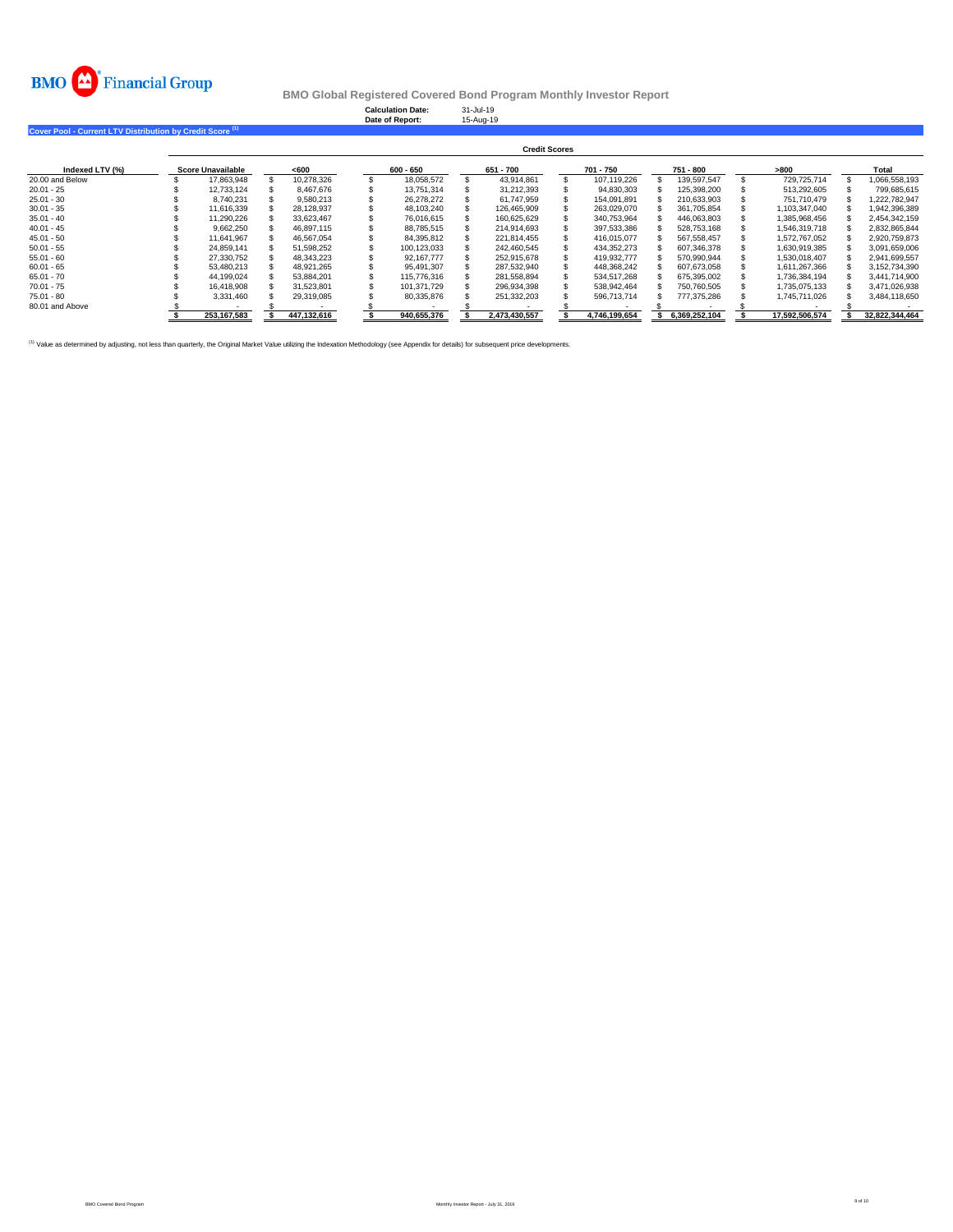

**Calculation Date:** 31-Jul-19 **Date of Report:** 15-Aug-19

**Cover Pool - Current LTV Distribution by Credit Score (1)** 

|                 |                          |             |             | <b>Credit Scores</b> |               |               |                |                |
|-----------------|--------------------------|-------------|-------------|----------------------|---------------|---------------|----------------|----------------|
| Indexed LTV (%) | <b>Score Unavailable</b> | $600$       | 600 - 650   | 651 - 700            | 701 - 750     | 751 - 800     | >800           | Total          |
| 20,00 and Below | 17,863,948               | 10.278.326  | 18.058.572  | 43.914.861           | 107.119.226   | 139.597.547   | 729.725.714    | 066.558.193    |
| $20.01 - 25$    | 12.733.124               | 8.467.676   | 13.751.314  | 31.212.393           | 94,830,303    | 125,398,200   | 513,292,605    | 799.685.615    |
| $25.01 - 30$    | 8.740.231                | 9.580.213   | 26.278.272  | 61.747.959           | 154.091.891   | 210,633,903   | 751.710.479    | 1.222.782.947  |
| $30.01 - 35$    | 11.616.339               | 28,128,937  | 48,103,240  | 126.465.909          | 263,029,070   | 361,705,854   | 1,103,347,040  | 1,942,396,389  |
| $35.01 - 40$    | 11,290,226               | 33,623,467  | 76.016.615  | 160.625.629          | 340,753,964   | 446,063,803   | 1,385,968,456  | 2,454,342,159  |
| $40.01 - 45$    | 9.662.250                | 46.897.115  | 88.785.515  | 214.914.693          | 397.533.386   | 528.753.168   | 1.546.319.718  | 2.832.865.844  |
| $45.01 - 50$    | 11.641.967               | 46.567.054  | 84,395,812  | 221.814.455          | 416.015.077   | 567, 558, 457 | 1.572.767.052  | 2,920,759,873  |
| $50.01 - 55$    | 24.859.141               | 51.598.252  | 100.123.033 | 242.460.545          | 434.352.273   | 607.346.378   | 1.630.919.385  | 3.091.659.006  |
| $55.01 - 60$    | 27.330.752               | 48,343,223  | 92.167.777  | 252.915.678          | 419,932,777   | 570.990.944   | 1,530,018,407  | 2,941,699,557  |
| $60.01 - 65$    | 53.480.213               | 48.921.265  | 95.491.307  | 287.532.940          | 448.368.242   | 607.673.058   | 1.611.267.366  | 3.152.734.390  |
| $65.01 - 70$    | 44.199.024               | 53.884.201  | 115,776,316 | 281.558.894          | 534.517.268   | 675,395,002   | 1,736,384,194  | 3.441.714.900  |
| $70.01 - 75$    | 16.418.908               | 31.523.801  | 101.371.729 | 296.934.398          | 538.942.464   | 750.760.505   | 1.735.075.133  | 3.471.026.938  |
| $75.01 - 80$    | 3,331,460                | 29.319.085  | 80,335,876  | 251,332,203          | 596,713,714   | 777.375.286   | 1.745.711.026  | 3.484.118.650  |
| 80.01 and Above |                          |             |             |                      |               |               |                |                |
|                 | 253.167.583              | 447.132.616 | 940.655.376 | 2.473.430.557        | 4.746.199.654 | 6.369.252.104 | 17.592.506.574 | 32.822.344.464 |

<sup>(1)</sup> Value as determined by adjusting, not less than quarterly, the Original Market Value utilizing the Indexation Methodology (see Appendix for details) for subsequent price developments.